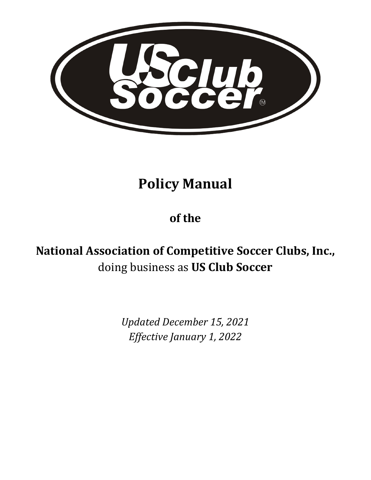

# **Policy Manual**

# **of the**

# **National Association of Competitive Soccer Clubs, Inc.,**  doing business as **US Club Soccer**

*Updated December 15, 2021 Effective January 1, 2022*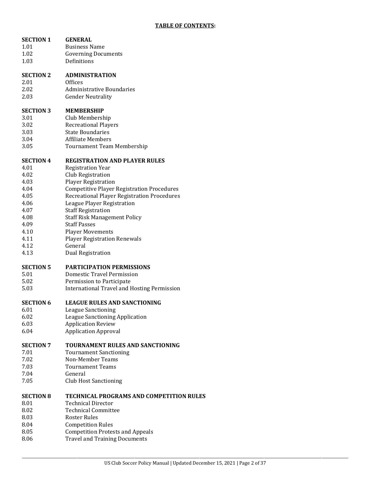| <b>SECTION 1</b> | <b>GENERAL</b>                                     |
|------------------|----------------------------------------------------|
| 1.01             | <b>Business Name</b>                               |
| 1.02             | <b>Governing Documents</b>                         |
| 1.03             | Definitions                                        |
| <b>SECTION 2</b> | <b>ADMINISTRATION</b>                              |
| 2.01             | <b>Offices</b>                                     |
| 2.02             | <b>Administrative Boundaries</b>                   |
| 2.03             | <b>Gender Neutrality</b>                           |
| <b>SECTION 3</b> | <b>MEMBERSHIP</b>                                  |
| 3.01             | Club Membership                                    |
| 3.02             | <b>Recreational Players</b>                        |
| 3.03             | <b>State Boundaries</b>                            |
| 3.04             | <b>Affiliate Members</b>                           |
| 3.05             | Tournament Team Membership                         |
| <b>SECTION 4</b> | <b>REGISTRATION AND PLAYER RULES</b>               |
| 4.01             | <b>Registration Year</b>                           |
| 4.02             | Club Registration                                  |
| 4.03             | <b>Player Registration</b>                         |
| 4.04             | <b>Competitive Player Registration Procedures</b>  |
| 4.05             | Recreational Player Registration Procedures        |
| 4.06             | League Player Registration                         |
| 4.07             | <b>Staff Registration</b>                          |
| 4.08             | <b>Staff Risk Management Policy</b>                |
| 4.09             | <b>Staff Passes</b>                                |
| 4.10             | <b>Player Movements</b>                            |
| 4.11             | <b>Player Registration Renewals</b>                |
| 4.12             | General                                            |
| 4.13             | Dual Registration                                  |
| <b>SECTION 5</b> | <b>PARTICIPATION PERMISSIONS</b>                   |
| 5.01             | Domestic Travel Permission                         |
| 5.02             | Permission to Participate                          |
| 5.03             | <b>International Travel and Hosting Permission</b> |
| <b>SECTION 6</b> | <b>LEAGUE RULES AND SANCTIONING</b>                |
| 6.01             | <b>League Sanctioning</b>                          |
| 6.02             | League Sanctioning Application                     |
| 6.03             | <b>Application Review</b>                          |
| 6.04             | <b>Application Approval</b>                        |
| <b>SECTION 7</b> | <b>TOURNAMENT RULES AND SANCTIONING</b>            |
| 7.01             | <b>Tournament Sanctioning</b>                      |
| 7.02             | Non-Member Teams                                   |
| 7.03             | <b>Tournament Teams</b>                            |
| 7.04             | General                                            |
| 7.05             | <b>Club Host Sanctioning</b>                       |
| <b>SECTION 8</b> | <b>TECHNICAL PROGRAMS AND COMPETITION RULES</b>    |
| 8.01             | <b>Technical Director</b>                          |
| 8.02             | <b>Technical Committee</b>                         |
| 8.03             | Roster Rules                                       |
| 8.04             | <b>Competition Rules</b>                           |
| 8.05             | <b>Competition Protests and Appeals</b>            |
| 8.06             | <b>Travel and Training Documents</b>               |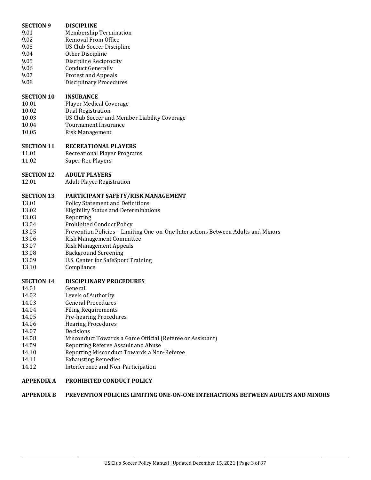| <b>SECTION 9</b>  | <b>DISCIPLINE</b>                                                                |
|-------------------|----------------------------------------------------------------------------------|
| 9.01              | <b>Membership Termination</b>                                                    |
| 9.02              | <b>Removal From Office</b>                                                       |
| 9.03              | US Club Soccer Discipline                                                        |
| 9.04              | Other Discipline                                                                 |
| 9.05              | Discipline Reciprocity                                                           |
| 9.06              | <b>Conduct Generally</b>                                                         |
| 9.07              | <b>Protest and Appeals</b>                                                       |
| 9.08              | <b>Disciplinary Procedures</b>                                                   |
|                   |                                                                                  |
| <b>SECTION 10</b> | <b>INSURANCE</b>                                                                 |
| 10.01             | <b>Player Medical Coverage</b>                                                   |
| 10.02             | Dual Registration                                                                |
| 10.03             | US Club Soccer and Member Liability Coverage                                     |
| 10.04             | <b>Tournament Insurance</b>                                                      |
| 10.05             | <b>Risk Management</b>                                                           |
|                   |                                                                                  |
| <b>SECTION 11</b> | <b>RECREATIONAL PLAYERS</b>                                                      |
| 11.01             | <b>Recreational Player Programs</b>                                              |
| 11.02             | <b>Super Rec Players</b>                                                         |
|                   |                                                                                  |
| <b>SECTION 12</b> | <b>ADULT PLAYERS</b>                                                             |
| 12.01             | <b>Adult Player Registration</b>                                                 |
|                   |                                                                                  |
| <b>SECTION 13</b> | PARTICIPANT SAFETY/RISK MANAGEMENT                                               |
| 13.01             | <b>Policy Statement and Definitions</b>                                          |
| 13.02             | <b>Eligibility Status and Determinations</b>                                     |
| 13.03             | Reporting                                                                        |
| 13.04             | <b>Prohibited Conduct Policy</b>                                                 |
| 13.05             | Prevention Policies - Limiting One-on-One Interactions Between Adults and Minors |
| 13.06             | <b>Risk Management Committee</b>                                                 |
| 13.07             | <b>Risk Management Appeals</b>                                                   |
|                   |                                                                                  |
| 13.08             | <b>Background Screening</b>                                                      |
| 13.09<br>13.10    | U.S. Center for SafeSport Training                                               |
|                   | Compliance                                                                       |
| <b>SECTION 14</b> | <b>DISCIPLINARY PROCEDURES</b>                                                   |
| 14.01             | General                                                                          |
| 14.02             | Levels of Authority                                                              |
| 14.03             | <b>General Procedures</b>                                                        |
| 14.04             | <b>Filing Requirements</b>                                                       |
| 14.05             | <b>Pre-hearing Procedures</b>                                                    |
| 14.06             |                                                                                  |
|                   | <b>Hearing Procedures</b>                                                        |
| 14.07             | Decisions                                                                        |
| 14.08             | Misconduct Towards a Game Official (Referee or Assistant)                        |
| 14.09             | Reporting Referee Assault and Abuse                                              |
| 14.10             | Reporting Misconduct Towards a Non-Referee                                       |
| 14.11             | <b>Exhausting Remedies</b>                                                       |
| 14.12             | Interference and Non-Participation                                               |
|                   |                                                                                  |
| <b>APPENDIX A</b> | PROHIBITED CONDUCT POLICY                                                        |

# **APPENDIX B PREVENTION POLICIES LIMITING ONE-ON-ONE INTERACTIONS BETWEEN ADULTS AND MINORS**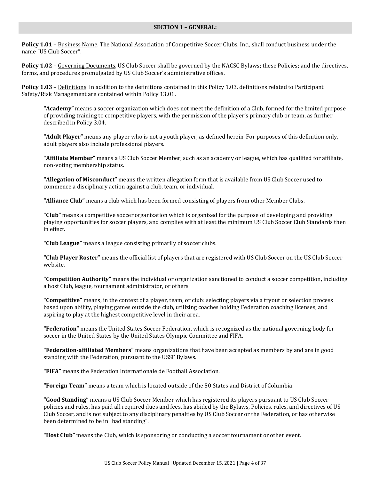#### **SECTION 1 – GENERAL:**

**Policy 1.01** – Business Name. The National Association of Competitive Soccer Clubs, Inc., shall conduct business under the name "US Club Soccer".

**Policy 1.02** – Governing Documents. US Club Soccer shall be governed by the NACSC Bylaws; these Policies; and the directives, forms, and procedures promulgated by US Club Soccer's administrative offices.

**Policy 1.03** – Definitions. In addition to the definitions contained in this Policy 1.03, definitions related to Participant Safety/Risk Management are contained within Policy 13.01.

**"Academy"** means a soccer organization which does not meet the definition of a Club, formed for the limited purpose of providing training to competitive players, with the permission of the player's primary club or team, as further described in Policy 3.04.

**"Adult Player"** means any player who is not a youth player, as defined herein. For purposes of this definition only, adult players also include professional players.

**"Affiliate Member"** means a US Club Soccer Member, such as an academy or league, which has qualified for affiliate, non-voting membership status.

**"Allegation of Misconduct"** means the written allegation form that is available from US Club Soccer used to commence a disciplinary action against a club, team, or individual.

**"Alliance Club"** means a club which has been formed consisting of players from other Member Clubs.

**"Club"** means a competitive soccer organization which is organized for the purpose of developing and providing playing opportunities for soccer players, and complies with at least the minimum US Club Soccer Club Standards then in effect.

**"Club League"** means a league consisting primarily of soccer clubs.

**"Club Player Roster"** means the official list of players that are registered with US Club Soccer on the US Club Soccer website.

**"Competition Authority"** means the individual or organization sanctioned to conduct a soccer competition, including a host Club, league, tournament administrator, or others.

**"Competitive"** means, in the context of a player, team, or club: selecting players via a tryout or selection process based upon ability, playing games outside the club, utilizing coaches holding Federation coaching licenses, and aspiring to play at the highest competitive level in their area.

**"Federation"** means the United States Soccer Federation, which is recognized as the national governing body for soccer in the United States by the United States Olympic Committee and FIFA.

**"Federation-affiliated Members"** means organizations that have been accepted as members by and are in good standing with the Federation, pursuant to the USSF Bylaws.

**"FIFA"** means the Federation Internationale de Football Association.

**"Foreign Team"** means a team which is located outside of the 50 States and District of Columbia.

**"Good Standing"** means a US Club Soccer Member which has registered its players pursuant to US Club Soccer policies and rules, has paid all required dues and fees, has abided by the Bylaws, Policies, rules, and directives of US Club Soccer, and is not subject to any disciplinary penalties by US Club Soccer or the Federation, or has otherwise been determined to be in "bad standing".

**"Host Club"** means the Club, which is sponsoring or conducting a soccer tournament or other event.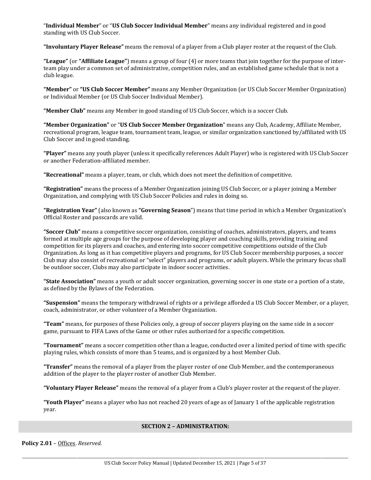"**Individual Member**" or "**US Club Soccer Individual Member**" means any individual registered and in good standing with US Club Soccer.

**"Involuntary Player Release"** means the removal of a player from a Club player roster at the request of the Club.

**"League"** (or **"Affiliate League"**) means a group of four (4) or more teams that join together for the purpose of interteam play under a common set of administrative, competition rules, and an established game schedule that is not a club league.

**"Member"** or **"US Club Soccer Member"** means any Member Organization (or US Club Soccer Member Organization) or Individual Member (or US Club Soccer Individual Member).

**"Member Club"** means any Member in good standing of US Club Soccer, which is a soccer Club.

**"Member Organization"** or "**US Club Soccer Member Organization**" means any Club, Academy, Affiliate Member, recreational program, league team, tournament team, league, or similar organization sanctioned by/affiliated with US Club Soccer and in good standing.

**"Player"** means any youth player (unless it specifically references Adult Player) who is registered with US Club Soccer or another Federation-affiliated member.

**"Recreational"** means a player, team, or club, which does not meet the definition of competitive.

**"Registration"** means the process of a Member Organization joining US Club Soccer, or a player joining a Member Organization, and complying with US Club Soccer Policies and rules in doing so.

**"Registration Year"** (also known as **"Governing Season**") means that time period in which a Member Organization's Official Roster and passcards are valid.

**"Soccer Club"** means a competitive soccer organization, consisting of coaches, administrators, players, and teams formed at multiple age groups for the purpose of developing player and coaching skills, providing training and competition for its players and coaches, and entering into soccer competitive competitions outside of the Club Organization. As long as it has competitive players and programs, for US Club Soccer membership purposes, a soccer Club may also consist of recreational or "select" players and programs, or adult players. While the primary focus shall be outdoor soccer, Clubs may also participate in indoor soccer activities.

**"State Association"** means a youth or adult soccer organization, governing soccer in one state or a portion of a state, as defined by the Bylaws of the Federation.

**"Suspension"** means the temporary withdrawal of rights or a privilege afforded a US Club Soccer Member, or a player, coach, administrator, or other volunteer of a Member Organization.

**"Team"** means, for purposes of these Policies only, a group of soccer players playing on the same side in a soccer game, pursuant to FIFA Laws of the Game or other rules authorized for a specific competition.

**"Tournament"** means a soccer competition other than a league, conducted over a limited period of time with specific playing rules, which consists of more than 5 teams, and is organized by a host Member Club.

**"Transfer"** means the removal of a player from the player roster of one Club Member, and the contemporaneous addition of the player to the player roster of another Club Member.

**"Voluntary Player Release"** means the removal of a player from a Club's player roster at the request of the player.

**"Youth Player"** means a player who has not reached 20 years of age as of January 1 of the applicable registration year.

#### **SECTION 2 – ADMINISTRATION:**

**Policy 2.01** – Offices. *Reserved.*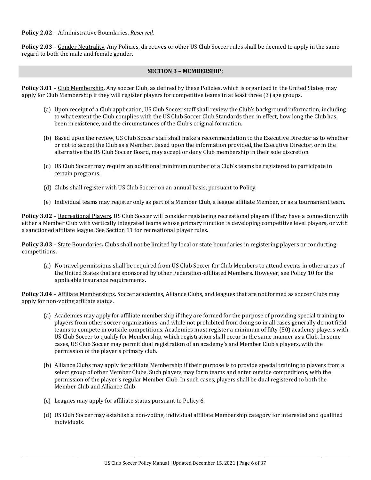#### **Policy 2.02** – Administrative Boundaries. *Reserved.*

Policy 2.03 - Gender Neutrality. Any Policies, directives or other US Club Soccer rules shall be deemed to apply in the same regard to both the male and female gender.

### **SECTION 3 – MEMBERSHIP:**

**Policy 3.01** – Club Membership. Any soccer Club, as defined by these Policies, which is organized in the United States, may apply for Club Membership if they will register players for competitive teams in at least three (3) age groups.

- (a) Upon receipt of a Club application, US Club Soccer staff shall review the Club's background information, including to what extent the Club complies with the US Club Soccer Club Standards then in effect, how long the Club has been in existence, and the circumstances of the Club's original formation.
- (b) Based upon the review, US Club Soccer staff shall make a recommendation to the Executive Director as to whether or not to accept the Club as a Member. Based upon the information provided, the Executive Director, or in the alternative the US Club Soccer Board, may accept or deny Club membership in their sole discretion.
- (c) US Club Soccer may require an additional minimum number of a Club's teams be registered to participate in certain programs.
- (d) Clubs shall register with US Club Soccer on an annual basis, pursuant to Policy.
- (e) Individual teams may register only as part of a Member Club, a league affiliate Member, or as a tournament team.

**Policy 3.02** – Recreational Players. US Club Soccer will consider registering recreational players if they have a connection with either a Member Club with vertically integrated teams whose primary function is developing competitive level players, or with a sanctioned affiliate league. See Section 11 for recreational player rules.

**Policy 3.03** – State Boundaries**.** Clubs shall not be limited by local or state boundaries in registering players or conducting competitions.

(a) No travel permissions shall be required from US Club Soccer for Club Members to attend events in other areas of the United States that are sponsored by other Federation-affiliated Members. However, see Policy 10 for the applicable insurance requirements.

Policy 3.04 - Affiliate Memberships. Soccer academies, Alliance Clubs, and leagues that are not formed as soccer Clubs may apply for non-voting affiliate status.

- (a) Academies may apply for affiliate membership if they are formed for the purpose of providing special training to players from other soccer organizations, and while not prohibited from doing so in all cases generally do not field teams to compete in outside competitions. Academies must register a minimum of fifty (50) academy players with US Club Soccer to qualify for Membership, which registration shall occur in the same manner as a Club. In some cases, US Club Soccer may permit dual registration of an academy's and Member Club's players, with the permission of the player's primary club.
- (b) Alliance Clubs may apply for affiliate Membership if their purpose is to provide special training to players from a select group of other Member Clubs. Such players may form teams and enter outside competitions, with the permission of the player's regular Member Club. In such cases, players shall be dual registered to both the Member Club and Alliance Club.
- (c) Leagues may apply for affiliate status pursuant to Policy 6.
- (d) US Club Soccer may establish a non-voting, individual affiliate Membership category for interested and qualified individuals.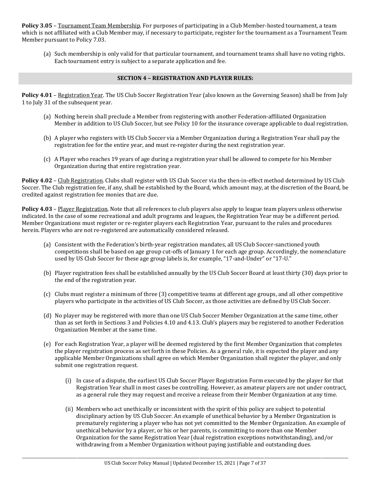**Policy 3.05** – Tournament Team Membership. For purposes of participating in a Club Member-hosted tournament, a team which is not affiliated with a Club Member may, if necessary to participate, register for the tournament as a Tournament Team Member pursuant to Policy 7.03.

(a) Such membership is only valid for that particular tournament, and tournament teams shall have no voting rights. Each tournament entry is subject to a separate application and fee.

## **SECTION 4 – REGISTRATION AND PLAYER RULES:**

**Policy 4.01** – Registration Year. The US Club Soccer Registration Year (also known as the Governing Season) shall be from July 1 to July 31 of the subsequent year.

- (a) Nothing herein shall preclude a Member from registering with another Federation-affiliated Organization Member in addition to US Club Soccer, but see Policy 10 for the insurance coverage applicable to dual registration.
- (b) A player who registers with US Club Soccer via a Member Organization during a Registration Year shall pay the registration fee for the entire year, and must re-register during the next registration year.
- (c) A Player who reaches 19 years of age during a registration year shall be allowed to compete for his Member Organization during that entire registration year.

**Policy 4.02** – Club Registration. Clubs shall register with US Club Soccer via the then-in-effect method determined by US Club Soccer. The Club registration fee, if any, shall be established by the Board, which amount may, at the discretion of the Board, be credited against registration fee monies that are due.

**Policy 4.03** – Player Registration. Note that all references to club players also apply to league team players unless otherwise indicated. In the case of some recreational and adult programs and leagues, the Registration Year may be a different period. Member Organizations must register or re-register players each Registration Year, pursuant to the rules and procedures herein. Players who are not re-registered are automatically considered released.

- (a) Consistent with the Federation's birth-year registration mandates, all US Club Soccer-sanctioned youth competitions shall be based on age group cut-offs of January 1 for each age group. Accordingly, the nomenclature used by US Club Soccer for these age group labels is, for example, "17-and-Under" or "17-U."
- (b) Player registration fees shall be established annually by the US Club Soccer Board at least thirty (30) days prior to the end of the registration year.
- (c) Clubs must register a minimum of three (3) competitive teams at different age groups, and all other competitive players who participate in the activities of US Club Soccer, as those activities are defined by US Club Soccer.
- (d) No player may be registered with more than one US Club Soccer Member Organization at the same time, other than as set forth in Sections 3 and Policies 4.10 and 4.13. Club's players may be registered to another Federation Organization Member at the same time.
- (e) For each Registration Year, a player will be deemed registered by the first Member Organization that completes the player registration process as set forth in these Policies. As a general rule, it is expected the player and any applicable Member Organizations shall agree on which Member Organization shall register the player, and only submit one registration request.
	- (i) In case of a dispute, the earliest US Club Soccer Player Registration Form executed by the player for that Registration Year shall in most cases be controlling. However, as amateur players are not under contract, as a general rule they may request and receive a release from their Member Organization at any time.
	- (ii) Members who act unethically or inconsistent with the spirit of this policy are subject to potential disciplinary action by US Club Soccer. An example of unethical behavior by a Member Organization is prematurely registering a player who has not yet committed to the Member Organization. An example of unethical behavior by a player, or his or her parents, is committing to more than one Member Organization for the same Registration Year (dual registration exceptions notwithstanding), and/or withdrawing from a Member Organization without paying justifiable and outstanding dues.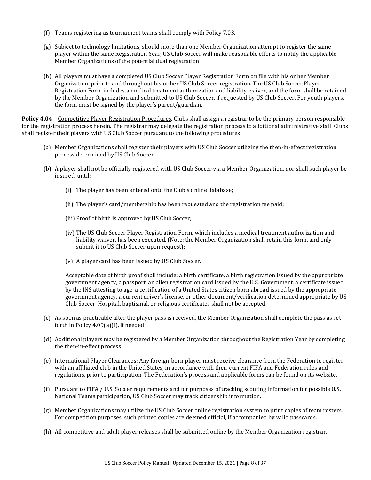- (f) Teams registering as tournament teams shall comply with Policy 7.03.
- (g) Subject to technology limitations, should more than one Member Organization attempt to register the same player within the same Registration Year, US Club Soccer will make reasonable efforts to notify the applicable Member Organizations of the potential dual registration.
- (h) All players must have a completed US Club Soccer Player Registration Form on file with his or her Member Organization, prior to and throughout his or her US Club Soccer registration. The US Club Soccer Player Registration Form includes a medical treatment authorization and liability waiver, and the form shall be retained by the Member Organization and submitted to US Club Soccer, if requested by US Club Soccer. For youth players, the form must be signed by the player's parent/guardian.

**Policy 4.04** – Competitive Player Registration Procedures. Clubs shall assign a registrar to be the primary person responsible for the registration process herein. The registrar may delegate the registration process to additional administrative staff. Clubs shall register their players with US Club Soccer pursuant to the following procedures:

- (a) Member Organizations shall register their players with US Club Soccer utilizing the then-in-effect registration process determined by US Club Soccer.
- (b) A player shall not be officially registered with US Club Soccer via a Member Organization, nor shall such player be insured, until:
	- (i) The player has been entered onto the Club's online database;
	- (ii) The player's card/membership has been requested and the registration fee paid;
	- (iii) Proof of birth is approved by US Club Soccer;
	- (iv) The US Club Soccer Player Registration Form, which includes a medical treatment authorization and liability waiver, has been executed. (Note: the Member Organization shall retain this form, and only submit it to US Club Soccer upon request);
	- (v) A player card has been issued by US Club Soccer.

Acceptable date of birth proof shall include: a birth certificate, a birth registration issued by the appropriate government agency, a passport, an alien registration card issued by the U.S. Government, a certificate issued by the INS attesting to age, a certification of a United States citizen born abroad issued by the appropriate government agency, a current driver's license, or other document/verification determined appropriate by US Club Soccer. Hospital, baptismal, or religious certificates shall not be accepted.

- (c) As soon as practicable after the player pass is received, the Member Organization shall complete the pass as set forth in Policy 4.09(a)(i), if needed.
- (d) Additional players may be registered by a Member Organization throughout the Registration Year by completing the then-in-effect process
- (e) International Player Clearances: Any foreign-born player must receive clearance from the Federation to register with an affiliated club in the United States, in accordance with then-current FIFA and Federation rules and regulations, prior to participation. The Federation's process and applicable forms can be found on its website.
- (f) Pursuant to FIFA / U.S. Soccer requirements and for purposes of tracking scouting information for possible U.S. National Teams participation, US Club Soccer may track citizenship information.
- (g) Member Organizations may utilize the US Club Soccer online registration system to print copies of team rosters. For competition purposes, such printed copies are deemed official, if accompanied by valid passcards.
- (h) All competitive and adult player releases shall be submitted online by the Member Organization registrar.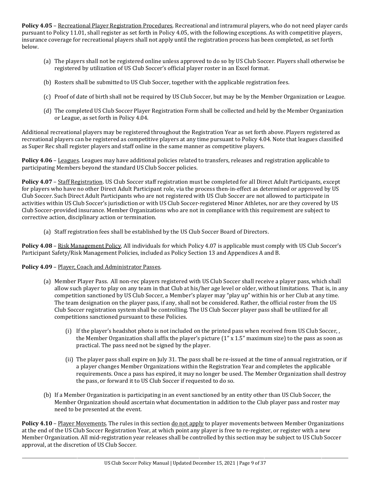**Policy 4.05** – Recreational Player Registration Procedures. Recreational and intramural players, who do not need player cards pursuant to Policy 11.01, shall register as set forth in Policy 4.05, with the following exceptions. As with competitive players, insurance coverage for recreational players shall not apply until the registration process has been completed, as set forth below.

- (a) The players shall not be registered online unless approved to do so by US Club Soccer. Players shall otherwise be registered by utilization of US Club Soccer's official player roster in an Excel format.
- (b) Rosters shall be submitted to US Club Soccer, together with the applicable registration fees.
- (c) Proof of date of birth shall not be required by US Club Soccer, but may be by the Member Organization or League.
- (d) The completed US Club Soccer Player Registration Form shall be collected and held by the Member Organization or League, as set forth in Policy 4.04.

Additional recreational players may be registered throughout the Registration Year as set forth above. Players registered as recreational players can be registered as competitive players at any time pursuant to Policy 4.04. Note that leagues classified as Super Rec shall register players and staff online in the same manner as competitive players.

**Policy 4.06** – Leagues. Leagues may have additional policies related to transfers, releases and registration applicable to participating Members beyond the standard US Club Soccer policies.

**Policy 4.07** – Staff Registration. US Club Soccer staff registration must be completed for all Direct Adult Participants, except for players who have no other Direct Adult Participant role, via the process then-in-effect as determined or approved by US Club Soccer. Such Direct Adult Participants who are not registered with US Club Soccer are not allowed to participate in activities within US Club Soccer's jurisdiction or with US Club Soccer-registered Minor Athletes, nor are they covered by US Club Soccer-provided insurance. Member Organizations who are not in compliance with this requirement are subject to corrective action, disciplinary action or termination.

(a) Staff registration fees shall be established by the US Club Soccer Board of Directors.

Policy 4.08 - Risk Management Policy. All individuals for which Policy 4.07 is applicable must comply with US Club Soccer's Participant Safety/Risk Management Policies, included as Policy Section 13 and Appendices A and B.

# **Policy 4.09** – Player, Coach and Administrator Passes.

- (a) Member Player Pass. All non-rec players registered with US Club Soccer shall receive a player pass, which shall allow such player to play on any team in that Club at his/her age level or older, without limitations. That is, in any competition sanctioned by US Club Soccer, a Member's player may "play up" within his or her Club at any time. The team designation on the player pass, if any, shall not be considered. Rather, the official roster from the US Club Soccer registration system shall be controlling. The US Club Soccer player pass shall be utilized for all competitions sanctioned pursuant to these Policies.
	- (i) If the player's headshot photo is not included on the printed pass when received from US Club Soccer, , the Member Organization shall affix the player's picture  $(1'' \times 1.5'$  maximum size) to the pass as soon as practical. The pass need not be signed by the player.
	- (ii) The player pass shall expire on July 31. The pass shall be re-issued at the time of annual registration, or if a player changes Member Organizations within the Registration Year and completes the applicable requirements. Once a pass has expired, it may no longer be used. The Member Organization shall destroy the pass, or forward it to US Club Soccer if requested to do so.
- (b) If a Member Organization is participating in an event sanctioned by an entity other than US Club Soccer, the Member Organization should ascertain what documentation in addition to the Club player pass and roster may need to be presented at the event.

**Policy 4.10** – Player Movements. The rules in this section do not apply to player movements between Member Organizations at the end of the US Club Soccer Registration Year, at which point any player is free to re-register, or register with a new Member Organization. All mid-registration year releases shall be controlled by this section may be subject to US Club Soccer approval, at the discretion of US Club Soccer.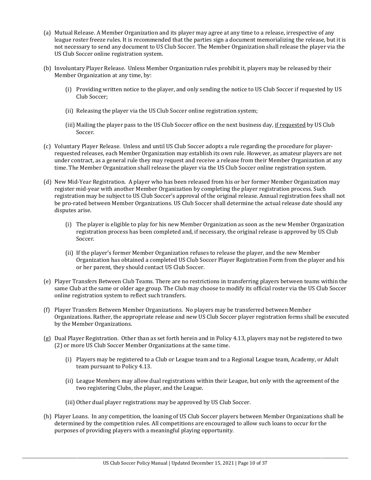- (a) Mutual Release. A Member Organization and its player may agree at any time to a release, irrespective of any league roster freeze rules. It is recommended that the parties sign a document memorializing the release, but it is not necessary to send any document to US Club Soccer. The Member Organization shall release the player via the US Club Soccer online registration system.
- (b) Involuntary Player Release. Unless Member Organization rules prohibit it, players may be released by their Member Organization at any time, by:
	- (i) Providing written notice to the player, and only sending the notice to US Club Soccer if requested by US Club Soccer;
	- (ii) Releasing the player via the US Club Soccer online registration system;
	- (iii) Mailing the player pass to the US Club Soccer office on the next business day, if requested by US Club Soccer.
- (c) Voluntary Player Release. Unless and until US Club Soccer adopts a rule regarding the procedure for playerrequested releases, each Member Organization may establish its own rule. However, as amateur players are not under contract, as a general rule they may request and receive a release from their Member Organization at any time. The Member Organization shall release the player via the US Club Soccer online registration system.
- (d) New Mid-Year Registration. A player who has been released from his or her former Member Organization may register mid-year with another Member Organization by completing the player registration process. Such registration may be subject to US Club Soccer's approval of the original release. Annual registration fees shall not be pro-rated between Member Organizations. US Club Soccer shall determine the actual release date should any disputes arise.
	- (i) The player is eligible to play for his new Member Organization as soon as the new Member Organization registration process has been completed and, if necessary, the original release is approved by US Club Soccer.
	- (ii) If the player's former Member Organization refuses to release the player, and the new Member Organization has obtained a completed US Club Soccer Player Registration Form from the player and his or her parent, they should contact US Club Soccer.
- (e) Player Transfers Between Club Teams. There are no restrictions in transferring players between teams within the same Club at the same or older age group. The Club may choose to modify its official roster via the US Club Soccer online registration system to reflect such transfers.
- (f) Player Transfers Between Member Organizations. No players may be transferred between Member Organizations. Rather, the appropriate release and new US Club Soccer player registration forms shall be executed by the Member Organizations.
- (g) Dual Player Registration. Other than as set forth herein and in Policy 4.13, players may not be registered to two (2) or more US Club Soccer Member Organizations at the same time.
	- (i) Players may be registered to a Club or League team and to a Regional League team, Academy, or Adult team pursuant to Policy 4.13.
	- (ii) League Members may allow dual registrations within their League, but only with the agreement of the two registering Clubs, the player, and the League.
	- (iii) Other dual player registrations may be approved by US Club Soccer.
- (h) Player Loans. In any competition, the loaning of US Club Soccer players between Member Organizations shall be determined by the competition rules. All competitions are encouraged to allow such loans to occur for the purposes of providing players with a meaningful playing opportunity.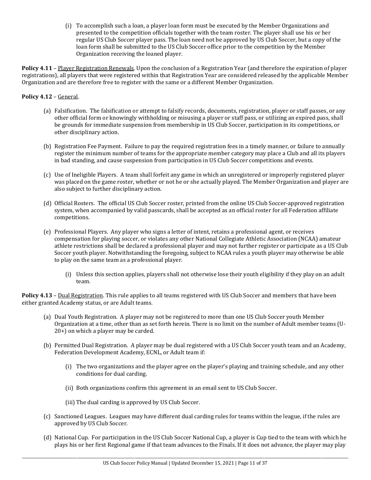(i) To accomplish such a loan, a player loan form must be executed by the Member Organizations and presented to the competition officials together with the team roster. The player shall use his or her regular US Club Soccer player pass. The loan need not be approved by US Club Soccer, but a copy of the loan form shall be submitted to the US Club Soccer office prior to the competition by the Member Organization receiving the loaned player.

**Policy 4.11** – Player Registration Renewals. Upon the conclusion of a Registration Year (and therefore the expiration of player registrations), all players that were registered within that Registration Year are considered released by the applicable Member Organization and are therefore free to register with the same or a different Member Organization.

# **Policy 4.12** – General.

- (a) Falsification. The falsification or attempt to falsify records, documents, registration, player or staff passes, or any other official form or knowingly withholding or misusing a player or staff pass, or utilizing an expired pass, shall be grounds for immediate suspension from membership in US Club Soccer, participation in its competitions, or other disciplinary action.
- (b) Registration Fee Payment. Failure to pay the required registration fees in a timely manner, or failure to annually register the minimum number of teams for the appropriate member category may place a Club and all its players in bad standing, and cause suspension from participation in US Club Soccer competitions and events.
- (c) Use of Ineligible Players. A team shall forfeit any game in which an unregistered or improperly registered player was placed on the game roster, whether or not he or she actually played. The Member Organization and player are also subject to further disciplinary action.
- (d) Official Rosters. The official US Club Soccer roster, printed from the online US Club Soccer-approved registration system, when accompanied by valid passcards, shall be accepted as an official roster for all Federation affiliate competitions.
- (e) Professional Players. Any player who signs a letter of intent, retains a professional agent, or receives compensation for playing soccer, or violates any other National Collegiate Athletic Association (NCAA) amateur athlete restrictions shall be declared a professional player and may not further register or participate as a US Club Soccer youth player. Notwithstanding the foregoing, subject to NCAA rules a youth player may otherwise be able to play on the same team as a professional player.
	- (i) Unless this section applies, players shall not otherwise lose their youth eligibility if they play on an adult team.

**Policy 4.13** – Dual Registration. This rule applies to all teams registered with US Club Soccer and members that have been either granted Academy status, or are Adult teams.

- (a) Dual Youth Registration. A player may not be registered to more than one US Club Soccer youth Member Organization at a time, other than as set forth herein. There is no limit on the number of Adult member teams (U-20+) on which a player may be carded.
- (b) Permitted Dual Registration. A player may be dual registered with a US Club Soccer youth team and an Academy, Federation Development Academy, ECNL, or Adult team if:
	- (i) The two organizations and the player agree on the player's playing and training schedule, and any other conditions for dual carding.
	- (ii) Both organizations confirm this agreement in an email sent to US Club Soccer.
	- (iii) The dual carding is approved by US Club Soccer.
- (c) Sanctioned Leagues. Leagues may have different dual carding rules for teams within the league, if the rules are approved by US Club Soccer.
- (d) National Cup. For participation in the US Club Soccer National Cup, a player is Cup tied to the team with which he plays his or her first Regional game if that team advances to the Finals. If it does not advance, the player may play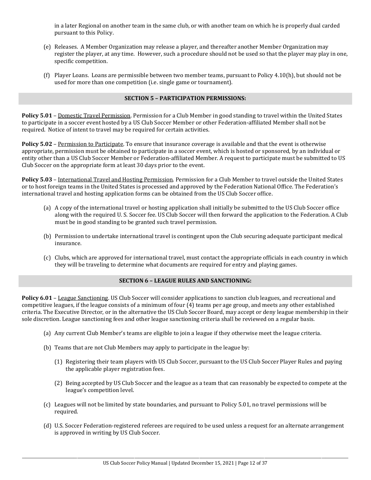in a later Regional on another team in the same club, or with another team on which he is properly dual carded pursuant to this Policy.

- (e) Releases. A Member Organization may release a player, and thereafter another Member Organization may register the player, at any time. However, such a procedure should not be used so that the player may play in one, specific competition.
- (f) Player Loans. Loans are permissible between two member teams, pursuant to Policy 4.10(h), but should not be used for more than one competition (i.e. single game or tournament).

### **SECTION 5 – PARTICIPATION PERMISSIONS:**

**Policy 5.01** – Domestic Travel Permission. Permission for a Club Member in good standing to travel within the United States to participate in a soccer event hosted by a US Club Soccer Member or other Federation-affiliated Member shall not be required. Notice of intent to travel may be required for certain activities.

Policy 5.02 - Permission to Participate. To ensure that insurance coverage is available and that the event is otherwise appropriate, permission must be obtained to participate in a soccer event, which is hosted or sponsored, by an individual or entity other than a US Club Soccer Member or Federation-affiliated Member. A request to participate must be submitted to US Club Soccer on the appropriate form at least 30 days prior to the event.

**Policy 5.03** – International Travel and Hosting Permission. Permission for a Club Member to travel outside the United States or to host foreign teams in the United States is processed and approved by the Federation National Office. The Federation's international travel and hosting application forms can be obtained from the US Club Soccer office.

- (a) A copy of the international travel or hosting application shall initially be submitted to the US Club Soccer office along with the required U. S. Soccer fee. US Club Soccer will then forward the application to the Federation. A Club must be in good standing to be granted such travel permission.
- (b) Permission to undertake international travel is contingent upon the Club securing adequate participant medical insurance.
- (c) Clubs, which are approved for international travel, must contact the appropriate officials in each country in which they will be traveling to determine what documents are required for entry and playing games.

# **SECTION 6 – LEAGUE RULES AND SANCTIONING:**

Policy 6.01 - League Sanctioning. US Club Soccer will consider applications to sanction club leagues, and recreational and competitive leagues, if the league consists of a minimum of four (4) teams per age group, and meets any other established criteria. The Executive Director, or in the alternative the US Club Soccer Board, may accept or deny league membership in their sole discretion. League sanctioning fees and other league sanctioning criteria shall be reviewed on a regular basis.

- (a) Any current Club Member's teams are eligible to join a league if they otherwise meet the league criteria.
- (b) Teams that are not Club Members may apply to participate in the league by:
	- (1) Registering their team players with US Club Soccer, pursuant to the US Club Soccer Player Rules and paying the applicable player registration fees.
	- (2) Being accepted by US Club Soccer and the league as a team that can reasonably be expected to compete at the league's competition level.
- (c) Leagues will not be limited by state boundaries, and pursuant to Policy 5.01, no travel permissions will be required.
- (d) U.S. Soccer Federation-registered referees are required to be used unless a request for an alternate arrangement is approved in writing by US Club Soccer.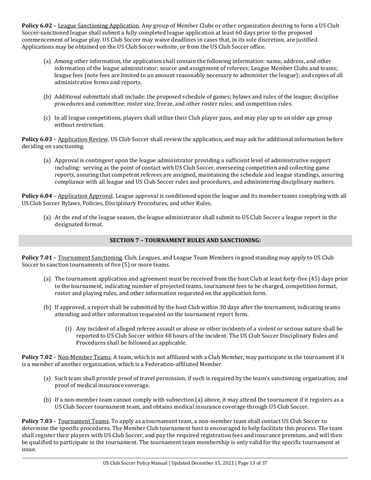**Policy 6.02** – League Sanctioning Application. Any group of Member Clubs or other organization desiring to form a US Club Soccer-sanctioned league shall submit a fully completed league application at least 60 days prior to the proposed commencement of league play. US Club Soccer may waive deadlines in cases that, in its sole discretion, are justified. Applications may be obtained on the US Club Soccer website, or from the US Club Soccer office.

- (a) Among other information, the application shall contain the following information: name, address, and other information of the league administrator; source and assignment of referees; League Member Clubs and teams; league fees (note fees are limited to an amount reasonably necessary to administer the league); and copies of all administrative forms and reports.
- (b) Additional submittals shall include: the proposed schedule of games; bylaws and rules of the league; discipline procedures and committee; roster size, freeze, and other roster rules; and competition rules.
- (c) In all league competitions, players shall utilize their Club player pass, and may play up to an older age group without restriction.

**Policy 6.03** – Application Review. US Club Soccer shall review the application, and may ask for additional information before deciding on sanctioning.

(a) Approval is contingent upon the league administrator providing a sufficient level of administrative support including: serving as the point of contact with US Club Soccer, overseeing competition and collecting game reports, assuring that competent referees are assigned, maintaining the schedule and league standings, assuring compliance with all league and US Club Soccer rules and procedures, and administering disciplinary matters.

**Policy 6.04** – Application Approval. League approval is conditioned upon the league and its member teams complying with all US Club Soccer Bylaws, Policies, Disciplinary Procedures, and other Rules.

(a) At the end of the league season, the league administrator shall submit to US Club Soccer a league report in the designated format.

# **SECTION 7 – TOURNAMENT RULES AND SANCTIONING:**

**Policy 7.01** – Tournament Sanctioning. Club, Leagues, and League Team Members in good standing may apply to US Club Soccer to sanction tournaments of five (5) or more teams.

- (a) The tournament application and agreement must be received from the host Club at least forty-five (45) days prior to the tournament, indicating number of projected teams, tournament fees to be charged, competition format, roster and playing rules, and other information requested on the application form.
- (b) If approved, a report shall be submitted by the host Club within 30 days after the tournament, indicating teams attending and other information requested on the tournament report form.
	- (i) Any incident of alleged referee assault or abuse or other incidents of a violent or serious nature shall be reported to US Club Soccer within 48 hours of the incident. The US Club Soccer Disciplinary Rules and Procedures shall be followed as applicable.

**Policy 7.02** – Non-Member Teams. A team, which is not affiliated with a Club Member, may participate in the tournament if it is a member of another organization, which is a Federation-affiliated Member.

- (a) Such team shall provide proof of travel permission, if such is required by the team's sanctioning organization, and proof of medical insurance coverage.
- (b) If a non-member team cannot comply with subsection (a) above, it may attend the tournament if it registers as a US Club Soccer tournament team, and obtains medical insurance coverage through US Club Soccer.

**Policy 7.03** – Tournament Teams. To apply as a tournament team, a non-member team shall contact US Club Soccer to determine the specific procedures. The Member Club tournament host is encouraged to help facilitate this process. The team shall register their players with US Club Soccer, and pay the required registration fees and insurance premium, and will then be qualified to participate in the tournament. The tournament team membership is only valid for the specific tournament at issue.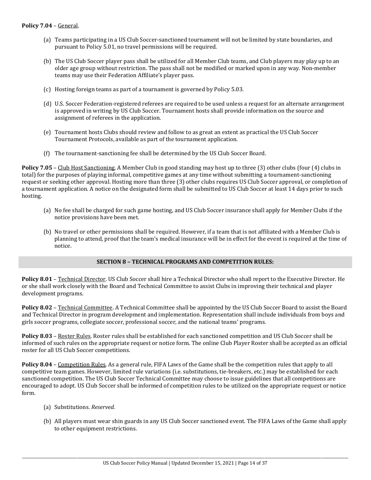- (a) Teams participating in a US Club Soccer-sanctioned tournament will not be limited by state boundaries, and pursuant to Policy 5.01, no travel permissions will be required.
- (b) The US Club Soccer player pass shall be utilized for all Member Club teams, and Club players may play up to an older age group without restriction. The pass shall not be modified or marked upon in any way. Non-member teams may use their Federation Affiliate's player pass.
- (c) Hosting foreign teams as part of a tournament is governed by Policy 5.03.
- (d) U.S. Soccer Federation-registered referees are required to be used unless a request for an alternate arrangement is approved in writing by US Club Soccer. Tournament hosts shall provide information on the source and assignment of referees in the application.
- (e) Tournament hosts Clubs should review and follow to as great an extent as practical the US Club Soccer Tournament Protocols, available as part of the tournament application.
- (f) The tournament-sanctioning fee shall be determined by the US Club Soccer Board.

**Policy 7.05** – Club Host Sanctioning. A Member Club in good standing may host up to three (3) other clubs (four (4) clubs in total) for the purposes of playing informal, competitive games at any time without submitting a tournament-sanctioning request or seeking other approval. Hosting more than three (3) other clubs requires US Club Soccer approval, or completion of a tournament application. A notice on the designated form shall be submitted to US Club Soccer at least 14 days prior to such hosting.

- (a) No fee shall be charged for such game hosting, and US Club Soccer insurance shall apply for Member Clubs if the notice provisions have been met.
- (b) No travel or other permissions shall be required. However, if a team that is not affiliated with a Member Club is planning to attend, proof that the team's medical insurance will be in effect for the event is required at the time of notice.

# **SECTION 8 – TECHNICAL PROGRAMS AND COMPETITION RULES:**

**Policy 8.01** – Technical Director. US Club Soccer shall hire a Technical Director who shall report to the Executive Director. He or she shall work closely with the Board and Technical Committee to assist Clubs in improving their technical and player development programs.

**Policy 8.02** – Technical Committee. A Technical Committee shall be appointed by the US Club Soccer Board to assist the Board and Technical Director in program development and implementation. Representation shall include individuals from boys and girls soccer programs, collegiate soccer, professional soccer, and the national teams' programs.

**Policy 8.03** – Roster Rules. Roster rules shall be established for each sanctioned competition and US Club Soccer shall be informed of such rules on the appropriate request or notice form. The online Club Player Roster shall be accepted as an official roster for all US Club Soccer competitions.

**Policy 8.04** – Competition Rules. As a general rule, FIFA Laws of the Game shall be the competition rules that apply to all competitive team games. However, limited rule variations (i.e. substitutions, tie-breakers, etc.) may be established for each sanctioned competition. The US Club Soccer Technical Committee may choose to issue guidelines that all competitions are encouraged to adopt. US Club Soccer shall be informed of competition rules to be utilized on the appropriate request or notice form.

- (a) Substitutions. *Reserved.*
- (b) All players must wear shin guards in any US Club Soccer sanctioned event. The FIFA Laws of the Game shall apply to other equipment restrictions.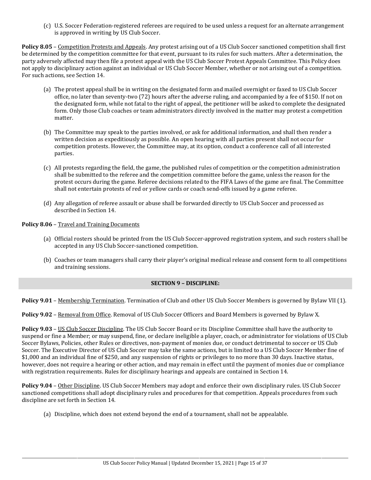(c) U.S. Soccer Federation-registered referees are required to be used unless a request for an alternate arrangement is approved in writing by US Club Soccer.

Policy 8.05 - Competition Protests and Appeals. Any protest arising out of a US Club Soccer sanctioned competition shall first be determined by the competition committee for that event, pursuant to its rules for such matters. After a determination, the party adversely affected may then file a protest appeal with the US Club Soccer Protest Appeals Committee. This Policy does not apply to disciplinary action against an individual or US Club Soccer Member, whether or not arising out of a competition. For such actions, see Section 14.

- (a) The protest appeal shall be in writing on the designated form and mailed overnight or faxed to US Club Soccer office, no later than seventy-two (72) hours after the adverse ruling, and accompanied by a fee of \$150. If not on the designated form, while not fatal to the right of appeal, the petitioner will be asked to complete the designated form. Only those Club coaches or team administrators directly involved in the matter may protest a competition matter.
- (b) The Committee may speak to the parties involved, or ask for additional information, and shall then render a written decision as expeditiously as possible. An open hearing with all parties present shall not occur for competition protests. However, the Committee may, at its option, conduct a conference call of all interested parties.
- (c) All protests regarding the field, the game, the published rules of competition or the competition administration shall be submitted to the referee and the competition committee before the game, unless the reason for the protest occurs during the game. Referee decisions related to the FIFA Laws of the game are final. The Committee shall not entertain protests of red or yellow cards or coach send-offs issued by a game referee.
- (d) Any allegation of referee assault or abuse shall be forwarded directly to US Club Soccer and processed as described in Section 14.

**Policy 8.06** – Travel and Training Documents

- (a) Official rosters should be printed from the US Club Soccer-approved registration system, and such rosters shall be accepted in any US Club Soccer-sanctioned competition.
- (b) Coaches or team managers shall carry their player's original medical release and consent form to all competitions and training sessions.

# **SECTION 9 – DISCIPLINE:**

**Policy 9.01** – Membership Termination. Termination of Club and other US Club Soccer Members is governed by Bylaw VII (1).

**Policy 9.02** – Removal from Office. Removal of US Club Soccer Officers and Board Members is governed by Bylaw X.

**Policy 9.03** – US Club Soccer Discipline. The US Club Soccer Board or its Discipline Committee shall have the authority to suspend or fine a Member; or may suspend, fine, or declare ineligible a player, coach, or administrator for violations of US Club Soccer Bylaws, Policies, other Rules or directives, non-payment of monies due, or conduct detrimental to soccer or US Club Soccer. The Executive Director of US Club Soccer may take the same actions, but is limited to a US Club Soccer Member fine of \$1,000 and an individual fine of \$250, and any suspension of rights or privileges to no more than 30 days. Inactive status, however, does not require a hearing or other action, and may remain in effect until the payment of monies due or compliance with registration requirements. Rules for disciplinary hearings and appeals are contained in Section 14.

**Policy 9.04** – Other Discipline. US Club Soccer Members may adopt and enforce their own disciplinary rules. US Club Soccer sanctioned competitions shall adopt disciplinary rules and procedures for that competition. Appeals procedures from such discipline are set forth in Section 14.

(a) Discipline, which does not extend beyond the end of a tournament, shall not be appealable.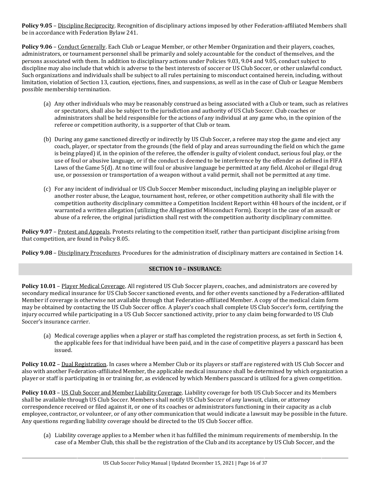**Policy 9.05** – Discipline Reciprocity. Recognition of disciplinary actions imposed by other Federation-affiliated Members shall be in accordance with Federation Bylaw 241.

**Policy 9.06** – Conduct Generally. Each Club or League Member, or other Member Organization and their players, coaches, administrators, or tournament personnel shall be primarily and solely accountable for the conduct of themselves, and the persons associated with them. In addition to disciplinary actions under Policies 9.03, 9.04 and 9.05, conduct subject to discipline may also include that which is adverse to the best interests of soccer or US Club Soccer, or other unlawful conduct. Such organizations and individuals shall be subject to all rules pertaining to misconduct contained herein, including, without limitation, violation of Section 13, caution, ejections, fines, and suspensions, as well as in the case of Club or League Members possible membership termination.

- (a) Any other individuals who may be reasonably construed as being associated with a Club or team, such as relatives or spectators, shall also be subject to the jurisdiction and authority of US Club Soccer. Club coaches or administrators shall be held responsible for the actions of any individual at any game who, in the opinion of the referee or competition authority, is a supporter of that Club or team.
- (b) During any game sanctioned directly or indirectly by US Club Soccer, a referee may stop the game and eject any coach, player, or spectator from the grounds (the field of play and areas surrounding the field on which the game is being played) if, in the opinion of the referee, the offender is guilty of violent conduct, serious foul play, or the use of foul or abusive language, or if the conduct is deemed to be interference by the offender as defined in FIFA Laws of the Game 5(d). At no time will foul or abusive language be permitted at any field. Alcohol or illegal drug use, or possession or transportation of a weapon without a valid permit, shall not be permitted at any time.
- (c) For any incident of individual or US Club Soccer Member misconduct, including playing an ineligible player or another roster abuse, the League, tournament host, referee, or other competition authority shall file with the competition authority disciplinary committee a Competition Incident Report within 48 hours of the incident, or if warranted a written allegation (utilizing the Allegation of Misconduct Form). Except in the case of an assault or abuse of a referee, the original jurisdiction shall rest with the competition authority disciplinary committee.

**Policy 9.07** – Protest and Appeals. Protests relating to the competition itself, rather than participant discipline arising from that competition, are found in Policy 8.05.

**Policy 9.08** – Disciplinary Procedures. Procedures for the administration of disciplinary matters are contained in Section 14.

# **SECTION 10 – INSURANCE:**

**Policy 10.01** – Player Medical Coverage. All registered US Club Soccer players, coaches, and administrators are covered by secondary medical insurance for US Club Soccer sanctioned events, and for other events sanctioned by a Federation-affiliated Member if coverage is otherwise not available through that Federation-affiliated Member. A copy of the medical claim form may be obtained by contacting the US Club Soccer office. A player's coach shall complete US Club Soccer's form, certifying the injury occurred while participating in a US Club Soccer sanctioned activity, prior to any claim being forwarded to US Club Soccer's insurance carrier.

(a) Medical coverage applies when a player or staff has completed the registration process, as set forth in Section 4, the applicable fees for that individual have been paid, and in the case of competitive players a passcard has been issued.

Policy 10.02 - Dual Registration. In cases where a Member Club or its players or staff are registered with US Club Soccer and also with another Federation-affiliated Member, the applicable medical insurance shall be determined by which organization a player or staff is participating in or training for, as evidenced by which Members passcard is utilized for a given competition.

**Policy 10.03** – US Club Soccer and Member Liability Coverage. Liability coverage for both US Club Soccer and its Members shall be available through US Club Soccer. Members shall notify US Club Soccer of any lawsuit, claim, or attorney correspondence received or filed against it, or one of its coaches or administrators functioning in their capacity as a club employee, contractor, or volunteer, or of any other communication that would indicate a lawsuit may be possible in the future. Any questions regarding liability coverage should be directed to the US Club Soccer office.

(a) Liability coverage applies to a Member when it has fulfilled the minimum requirements of membership. In the case of a Member Club, this shall be the registration of the Club and its acceptance by US Club Soccer, and the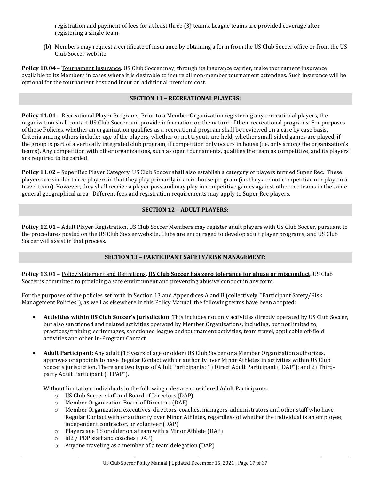registration and payment of fees for at least three (3) teams. League teams are provided coverage after registering a single team.

(b) Members may request a certificate of insurance by obtaining a form from the US Club Soccer office or from the US Club Soccer website.

**Policy 10.04** – Tournament Insurance. US Club Soccer may, through its insurance carrier, make tournament insurance available to its Members in cases where it is desirable to insure all non-member tournament attendees. Such insurance will be optional for the tournament host and incur an additional premium cost.

### **SECTION 11 – RECREATIONAL PLAYERS:**

**Policy 11.01** – Recreational Player Programs. Prior to a Member Organization registering any recreational players, the organization shall contact US Club Soccer and provide information on the nature of their recreational programs. For purposes of these Policies, whether an organization qualifies as a recreational program shall be reviewed on a case by case basis. Criteria among others include: age of the players, whether or not tryouts are held, whether small-sided games are played, if the group is part of a vertically integrated club program, if competition only occurs in house (i.e. only among the organization's teams). Any competition with other organizations, such as open tournaments, qualifies the team as competitive, and its players are required to be carded.

**Policy 11.02** – Super Rec Player Category. US Club Soccer shall also establish a category of players termed Super Rec. These players are similar to rec players in that they play primarily in an in-house program (i.e. they are not competitive nor play on a travel team). However, they shall receive a player pass and may play in competitive games against other rec teams in the same general geographical area. Different fees and registration requirements may apply to Super Rec players.

## **SECTION 12 – ADULT PLAYERS:**

**Policy 12.01** – Adult Player Registration. US Club Soccer Members may register adult players with US Club Soccer, pursuant to the procedures posted on the US Club Soccer website. Clubs are encouraged to develop adult player programs, and US Club Soccer will assist in that process.

# **SECTION 13 – PARTICIPANT SAFETY/RISK MANAGEMENT:**

**Policy 13.01** – Policy Statement and Definitions. **US Club Soccer has zero tolerance for abuse or misconduct.** US Club Soccer is committed to providing a safe environment and preventing abusive conduct in any form.

For the purposes of the policies set forth in Section 13 and Appendices A and B (collectively, "Participant Safety/Risk Management Policies"), as well as elsewhere in this Policy Manual, the following terms have been adopted:

- **Activities within US Club Soccer's jurisdiction:** This includes not only activities directly operated by US Club Soccer, but also sanctioned and related activities operated by Member Organizations, including, but not limited to, practices/training, scrimmages, sanctioned league and tournament activities, team travel, applicable off-field activities and other In-Program Contact.
- **Adult Participant:** Any adult (18 years of age or older) US Club Soccer or a Member Organization authorizes, approves or appoints to have Regular Contact with or authority over Minor Athletes in activities within US Club Soccer's jurisdiction. There are two types of Adult Participants: 1) Direct Adult Participant ("DAP"); and 2) Thirdparty Adult Participant ("TPAP").

Without limitation, individuals in the following roles are considered Adult Participants:

- o US Club Soccer staff and Board of Directors (DAP)
- o Member Organization Board of Directors (DAP)
- o Member Organization executives, directors, coaches, managers, administrators and other staff who have Regular Contact with or authority over Minor Athletes, regardless of whether the individual is an employee, independent contractor, or volunteer (DAP)
- o Players age 18 or older on a team with a Minor Athlete (DAP)
- o id2 / PDP staff and coaches (DAP)
- o Anyone traveling as a member of a team delegation (DAP)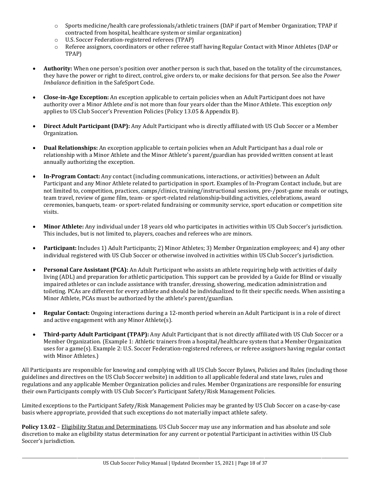- o Sports medicine/health care professionals/athletic trainers (DAP if part of Member Organization; TPAP if contracted from hospital, healthcare system or similar organization)
- o U.S. Soccer Federation-registered referees (TPAP)
- o Referee assignors, coordinators or other referee staff having Regular Contact with Minor Athletes (DAP or TPAP)
- **Authority:** When one person's position over another person is such that, based on the totality of the circumstances, they have the power or right to direct, control, give orders to, or make decisions for that person. See also the *Power Imbalance* definition in the SafeSport Code.
- **Close-in-Age Exception:** An exception applicable to certain policies when an Adult Participant does not have authority over a Minor Athlete *and* is not more than four years older than the Minor Athlete. This exception *only* applies to US Club Soccer's Prevention Policies (Policy 13.05 & Appendix B).
- **Direct Adult Participant (DAP):** Any Adult Participant who is directly affiliated with US Club Soccer or a Member Organization.
- **Dual Relationships:** An exception applicable to certain policies when an Adult Participant has a dual role or relationship with a Minor Athlete and the Minor Athlete's parent/guardian has provided written consent at least annually authorizing the exception.
- **In-Program Contact:** Any contact (including communications, interactions, or activities) between an Adult Participant and any Minor Athlete related to participation in sport. Examples of In-Program Contact include, but are not limited to, competition, practices, camps/clinics, training/instructional sessions, pre-/post-game meals or outings, team travel, review of game film, team- or sport-related relationship-building activities, celebrations, award ceremonies, banquets, team- or sport-related fundraising or community service, sport education or competition site visits.
- **Minor Athlete:** Any individual under 18 years old who participates in activities within US Club Soccer's jurisdiction. This includes, but is not limited to, players, coaches and referees who are minors.
- **Participant:** Includes 1) Adult Participants; 2) Minor Athletes; 3) Member Organization employees; and 4) any other individual registered with US Club Soccer or otherwise involved in activities within US Club Soccer's jurisdiction.
- **Personal Care Assistant (PCA):** An Adult Participant who assists an athlete requiring help with activities of daily living (ADL) and preparation for athletic participation. This support can be provided by a Guide for Blind or visually impaired athletes or can include assistance with transfer, dressing, showering, medication administration and toileting. PCAs are different for every athlete and should be individualized to fit their specific needs. When assisting a Minor Athlete, PCAs must be authorized by the athlete's parent/guardian.
- **Regular Contact:** Ongoing interactions during a 12-month period wherein an Adult Participant is in a role of direct and active engagement with any Minor Athlete(s).
- **Third-party Adult Participant (TPAP):** Any Adult Participant that is not directly affiliated with US Club Soccer or a Member Organization. (Example 1: Athletic trainers from a hospital/healthcare system that a Member Organization uses for a game(s). Example 2: U.S. Soccer Federation-registered referees, or referee assignors having regular contact with Minor Athletes.)

All Participants are responsible for knowing and complying with all US Club Soccer Bylaws, Policies and Rules (including those guidelines and directives on the US Club Soccer website) in addition to all applicable federal and state laws, rules and regulations and any applicable Member Organization policies and rules. Member Organizations are responsible for ensuring their own Participants comply with US Club Soccer's Participant Safety/Risk Management Policies.

Limited exceptions to the Participant Safety/Risk Management Policies may be granted by US Club Soccer on a case-by-case basis where appropriate, provided that such exceptions do not materially impact athlete safety.

**Policy 13.02** – Eligibility Status and Determinations. US Club Soccer may use any information and has absolute and sole discretion to make an eligibility status determination for any current or potential Participant in activities within US Club Soccer's jurisdiction.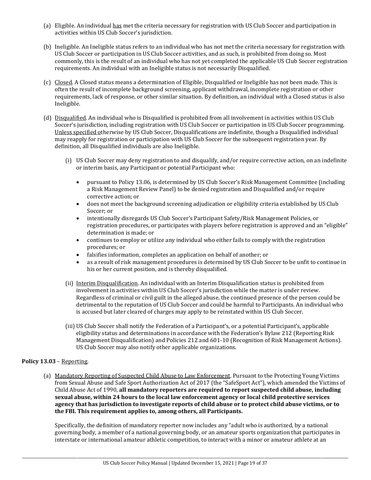- (a) Eligible. An individual has met the criteria necessary for registration with US Club Soccer and participation in activities within US Club Soccer's jurisdiction.
- (b) Ineligible. An Ineligible status refers to an individual who has not met the criteria necessary for registration with US Club Soccer or participation in US Club Soccer activities, and as such, is prohibited from doing so. Most commonly, this is the result of an individual who has not yet completed the applicable US Club Soccer registration requirements. An individual with an Ineligible status is not necessarily Disqualified.
- (c) Closed. A Closed status means a determination of Eligible, Disqualified or Ineligible has not been made. This is often the result of incomplete background screening, applicant withdrawal, incomplete registration or other requirements, lack of response, or other similar situation. By definition, an individual with a Closed status is also Ineligible.
- (d) Disqualified. An individual who is Disqualified is prohibited from all involvement in activities within US Club Soccer's jurisdiction, including registration with US Club Soccer or participation in US Club Soccer programming. Unless specified otherwise by US Club Soccer, Disqualifications are indefinite, though a Disqualified individual may reapply for registration or participation with US Club Soccer for the subsequent registration year. By definition, all Disqualified individuals are also Ineligible.
	- (i) US Club Soccer may deny registration to and disqualify, and/or require corrective action, on an indefinite or interim basis, any Participant or potential Participant who:
		- pursuant to Policy 13.06, is determined by US Club Soccer's Risk Management Committee (including a Risk Management Review Panel) to be denied registration and Disqualified and/or require corrective action; or
		- does not meet the background screening adjudication or eligibility criteria established by US Club Soccer; or
		- intentionally disregards US Club Soccer's Participant Safety/Risk Management Policies, or registration procedures, or participates with players before registration is approved and an "eligible" determination is made; or
		- continues to employ or utilize any individual who either fails to comply with the registration procedures; or
		- falsifies information, completes an application on behalf of another; or
		- as a result of risk management procedures is determined by US Club Soccer to be unfit to continue in his or her current position, and is thereby disqualified.
	- (ii) Interim Disqualification. An individual with an Interim Disqualification status is prohibited from involvement in activities within US Club Soccer's jurisdiction while the matter is under review. Regardless of criminal or civil guilt in the alleged abuse, the continued presence of the person could be detrimental to the reputation of US Club Soccer and could be harmful to Participants. An individual who is accused but later cleared of charges may apply to be reinstated within US Club Soccer.
	- (iii) US Club Soccer shall notify the Federation of a Participant's, or a potential Participant's, applicable eligibility status and determinations in accordance with the Federation's Bylaw 212 (Reporting Risk Management Disqualification) and Policies 212 and 601-10 (Recognition of Risk Management Actions). US Club Soccer may also notify other applicable organizations.

# **Policy 13.03** – Reporting.

(a) Mandatory Reporting of Suspected Child Abuse to Law Enforcement. Pursuant to the Protecting Young Victims from Sexual Abuse and Safe Sport Authorization Act of 2017 (the "SafeSport Act"), which amended the Victims of Child Abuse Act of 1990, **all mandatory reporters are required to report suspected child abuse, including sexual abuse, within 24 hours to the local law enforcement agency or local child protective services agency that has jurisdiction to investigate reports of child abuse or to protect child abuse victims, or to the FBI. This requirement applies to, among others, all Participants.**

Specifically, the definition of mandatory reporter now includes any "adult who is authorized, by a national governing body, a member of a national governing body, or an amateur sports organization that participates in interstate or international amateur athletic competition, to interact with a minor or amateur athlete at an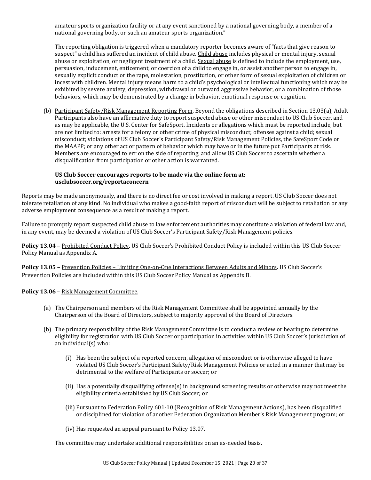amateur sports organization facility or at any event sanctioned by a national governing body, a member of a national governing body, or such an amateur sports organization."

The reporting obligation is triggered when a mandatory reporter becomes aware of "facts that give reason to suspect" a child has suffered an incident of child abuse. Child abuse includes physical or mental injury, sexual abuse or exploitation, or negligent treatment of a child. Sexual abuse is defined to include the employment, use, persuasion, inducement, enticement, or coercion of a child to engage in, or assist another person to engage in, sexually explicit conduct or the rape, molestation, prostitution, or other form of sexual exploitation of children or incest with children. Mental injury means harm to a child's psychological or intellectual functioning which may be exhibited by severe anxiety, depression, withdrawal or outward aggressive behavior, or a combination of those behaviors, which may be demonstrated by a change in behavior, emotional response or cognition.

(b) Participant Safety/Risk Management Reporting Form. Beyond the obligations described in Section 13.03(a), Adult Participants also have an affirmative duty to report suspected abuse or other misconduct to US Club Soccer, and as may be applicable, the U.S. Center for SafeSport. Incidents or allegations which must be reported include, but are not limited to: arrests for a felony or other crime of physical misconduct; offenses against a child; sexual misconduct; violations of US Club Soccer's Participant Safety/Risk Management Policies, the SafeSport Code or the MAAPP; or any other act or pattern of behavior which may have or in the future put Participants at risk. Members are encouraged to err on the side of reporting, and allow US Club Soccer to ascertain whether a disqualification from participation or other action is warranted.

## **US Club Soccer encourages reports to be made via the online form at: usclubsoccer.org/reportaconcern**

Reports may be made anonymously, and there is no direct fee or cost involved in making a report. US Club Soccer does not tolerate retaliation of any kind. No individual who makes a good-faith report of misconduct will be subject to retaliation or any adverse employment consequence as a result of making a report.

Failure to promptly report suspected child abuse to law enforcement authorities may constitute a violation of federal law and, in any event, may be deemed a violation of US Club Soccer's Participant Safety/Risk Management policies.

Policy 13.04 - Prohibited Conduct Policy. US Club Soccer's Prohibited Conduct Policy is included within this US Club Soccer Policy Manual as Appendix A.

**Policy 13.05 –** Prevention Policies – Limiting One-on-One Interactions Between Adults and Minors**.** US Club Soccer's Prevention Policies are included within this US Club Soccer Policy Manual as Appendix B.

**Policy 13.06** – Risk Management Committee.

- (a) The Chairperson and members of the Risk Management Committee shall be appointed annually by the Chairperson of the Board of Directors, subject to majority approval of the Board of Directors.
- (b) The primary responsibility of the Risk Management Committee is to conduct a review or hearing to determine eligibility for registration with US Club Soccer or participation in activities within US Club Soccer's jurisdiction of an individual(s) who:
	- (i) Has been the subject of a reported concern, allegation of misconduct or is otherwise alleged to have violated US Club Soccer's Participant Safety/Risk Management Policies or acted in a manner that may be detrimental to the welfare of Participants or soccer; or
	- (ii) Has a potentially disqualifying offense(s) in background screening results or otherwise may not meet the eligibility criteria established by US Club Soccer; or
	- (iii) Pursuant to Federation Policy 601-10 (Recognition of Risk Management Actions), has been disqualified or disciplined for violation of another Federation Organization Member's Risk Management program; or
	- (iv) Has requested an appeal pursuant to Policy 13.07.

The committee may undertake additional responsibilities on an as-needed basis.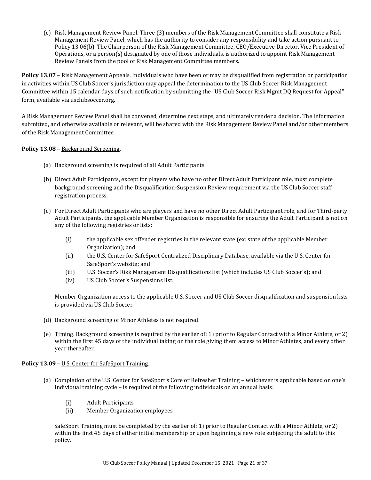(c) Risk Management Review Panel. Three (3) members of the Risk Management Committee shall constitute a Risk Management Review Panel, which has the authority to consider any responsibility and take action pursuant to Policy 13.06(b). The Chairperson of the Risk Management Committee, CEO/Executive Director, Vice President of Operations, or a person(s) designated by one of those individuals, is authorized to appoint Risk Management Review Panels from the pool of Risk Management Committee members.

**Policy 13.07** – Risk Management Appeals. Individuals who have been or may be disqualified from registration or participation in activities within US Club Soccer's jurisdiction may appeal the determination to the US Club Soccer Risk Management Committee within 15 calendar days of such notification by submitting the "US Club Soccer Risk Mgmt DQ Request for Appeal" form, available via usclubsoccer.org.

A Risk Management Review Panel shall be convened, determine next steps, and ultimately render a decision. The information submitted, and otherwise available or relevant, will be shared with the Risk Management Review Panel and/or other members of the Risk Management Committee.

**Policy 13.08** – Background Screening.

- (a) Background screening is required of all Adult Participants.
- (b) Direct Adult Participants, except for players who have no other Direct Adult Participant role, must complete background screening and the Disqualification-Suspension Review requirement via the US Club Soccer staff registration process.
- (c) For Direct Adult Participants who are players and have no other Direct Adult Participant role, and for Third-party Adult Participants, the applicable Member Organization is responsible for ensuring the Adult Participant is not on any of the following registries or lists:
	- (i) the applicable sex offender registries in the relevant state (ex: state of the applicable Member Organization); and
	- (ii) the U.S. Center for SafeSport Centralized Disciplinary Database, available via the U.S. Center for SafeSport's website; and
	- (iii) U.S. Soccer's Risk Management Disqualifications list (which includes US Club Soccer's); and
	- (iv) US Club Soccer's Suspensions list.

Member Organization access to the applicable U.S. Soccer and US Club Soccer disqualification and suspension lists is provided via US Club Soccer.

- (d) Background screening of Minor Athletes is not required.
- (e) Timing. Background screening is required by the earlier of: 1) prior to Regular Contact with a Minor Athlete, or 2) within the first 45 days of the individual taking on the role giving them access to Minor Athletes, and every other year thereafter.

# **Policy 13.09** – U.S. Center for SafeSport Training.

- (a) Completion of the U.S. Center for SafeSport's Core or Refresher Training whichever is applicable based on one's individual training cycle – is required of the following individuals on an annual basis:
	- (i) Adult Participants
	- (ii) Member Organization employees

SafeSport Training must be completed by the earlier of: 1) prior to Regular Contact with a Minor Athlete, or 2) within the first 45 days of either initial membership or upon beginning a new role subjecting the adult to this policy.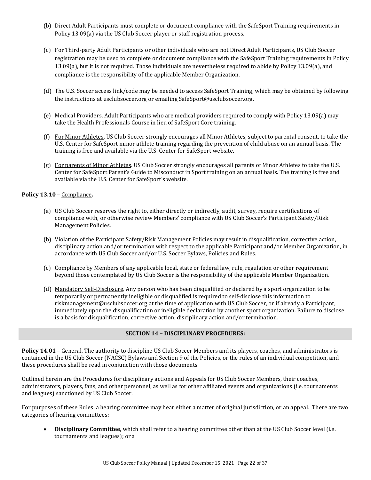- (b) Direct Adult Participants must complete or document compliance with the SafeSport Training requirements in Policy 13.09(a) via the US Club Soccer player or staff registration process.
- (c) For Third-party Adult Participants or other individuals who are not Direct Adult Participants, US Club Soccer registration may be used to complete or document compliance with the SafeSport Training requirements in Policy 13.09(a), but it is not required. Those individuals are nevertheless required to abide by Policy 13.09(a), and compliance is the responsibility of the applicable Member Organization.
- (d) The U.S. Soccer access link/code may be needed to access SafeSport Training, which may be obtained by following the instructions at usclubsoccer.org or emailing SafeSport@usclubsoccer.org.
- (e) Medical Providers. Adult Participants who are medical providers required to comply with Policy 13.09(a) may take the Health Professionals Course in lieu of SafeSport Core training.
- (f) For Minor Athletes. US Club Soccer strongly encourages all Minor Athletes, subject to parental consent, to take the U.S. Center for SafeSport minor athlete training regarding the prevention of child abuse on an annual basis. The training is free and available via the U.S. Center for SafeSport website.
- (g) For parents of Minor Athletes. US Club Soccer strongly encourages all parents of Minor Athletes to take the U.S. Center for SafeSport Parent's Guide to Misconduct in Sport training on an annual basis. The training is free and available via the U.S. Center for SafeSport's website.

## **Policy 13.10** – Compliance**.**

- (a) US Club Soccer reserves the right to, either directly or indirectly, audit, survey, require certifications of compliance with, or otherwise review Members' compliance with US Club Soccer's Participant Safety/Risk Management Policies.
- (b) Violation of the Participant Safety/Risk Management Policies may result in disqualification, corrective action, disciplinary action and/or termination with respect to the applicable Participant and/or Member Organization, in accordance with US Club Soccer and/or U.S. Soccer Bylaws, Policies and Rules.
- (c) Compliance by Members of any applicable local, state or federal law, rule, regulation or other requirement beyond those contemplated by US Club Soccer is the responsibility of the applicable Member Organization.
- (d) Mandatory Self-Disclosure. Any person who has been disqualified or declared by a sport organization to be temporarily or permanently ineligible or disqualified is required to self-disclose this information to riskmanagement@usclubsoccer.org at the time of application with US Club Soccer, or if already a Participant, immediately upon the disqualification or ineligible declaration by another sport organization. Failure to disclose is a basis for disqualification, corrective action, disciplinary action and/or termination.

## **SECTION 14 – DISCIPLINARY PROCEDURES:**

**Policy 14.01** – General. The authority to discipline US Club Soccer Members and its players, coaches, and administrators is contained in the US Club Soccer (NACSC) Bylaws and Section 9 of the Policies, or the rules of an individual competition, and these procedures shall be read in conjunction with those documents.

Outlined herein are the Procedures for disciplinary actions and Appeals for US Club Soccer Members, their coaches, administrators, players, fans, and other personnel, as well as for other affiliated events and organizations (i.e. tournaments and leagues) sanctioned by US Club Soccer.

For purposes of these Rules, a hearing committee may hear either a matter of original jurisdiction, or an appeal. There are two categories of hearing committees:

• **Disciplinary Committee**, which shall refer to a hearing committee other than at the US Club Soccer level (i.e. tournaments and leagues); or a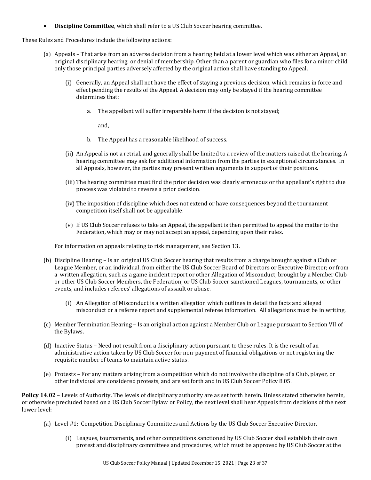• **Discipline Committee**, which shall refer to a US Club Soccer hearing committee.

These Rules and Procedures include the following actions:

- (a) Appeals That arise from an adverse decision from a hearing held at a lower level which was either an Appeal, an original disciplinary hearing, or denial of membership. Other than a parent or guardian who files for a minor child, only those principal parties adversely affected by the original action shall have standing to Appeal.
	- (i) Generally, an Appeal shall not have the effect of staying a previous decision, which remains in force and effect pending the results of the Appeal. A decision may only be stayed if the hearing committee determines that:
		- a. The appellant will suffer irreparable harm if the decision is not stayed;

and,

- b. The Appeal has a reasonable likelihood of success.
- (ii) An Appeal is not a retrial, and generally shall be limited to a review of the matters raised at the hearing. A hearing committee may ask for additional information from the parties in exceptional circumstances. In all Appeals, however, the parties may present written arguments in support of their positions.
- (iii) The hearing committee must find the prior decision was clearly erroneous or the appellant's right to due process was violated to reverse a prior decision.
- (iv) The imposition of discipline which does not extend or have consequences beyond the tournament competition itself shall not be appealable.
- (v) If US Club Soccer refuses to take an Appeal, the appellant is then permitted to appeal the matter to the Federation, which may or may not accept an appeal, depending upon their rules.

For information on appeals relating to risk management, see Section 13.

- (b) Discipline Hearing Is an original US Club Soccer hearing that results from a charge brought against a Club or League Member, or an individual, from either the US Club Soccer Board of Directors or Executive Director; or from a written allegation, such as a game incident report or other Allegation of Misconduct, brought by a Member Club or other US Club Soccer Members, the Federation, or US Club Soccer sanctioned Leagues, tournaments, or other events, and includes referees' allegations of assault or abuse.
	- (i) An Allegation of Misconduct is a written allegation which outlines in detail the facts and alleged misconduct or a referee report and supplemental referee information. All allegations must be in writing.
- (c) Member Termination Hearing Is an original action against a Member Club or League pursuant to Section VII of the Bylaws.
- (d) Inactive Status Need not result from a disciplinary action pursuant to these rules. It is the result of an administrative action taken by US Club Soccer for non-payment of financial obligations or not registering the requisite number of teams to maintain active status.
- (e) Protests *–* For any matters arising from a competition which do not involve the discipline of a Club, player, or other individual are considered protests, and are set forth and in US Club Soccer Policy 8.05.

**Policy 14.02** – Levels of Authority. The levels of disciplinary authority are as set forth herein. Unless stated otherwise herein, or otherwise precluded based on a US Club Soccer Bylaw or Policy, the next level shall hear Appeals from decisions of the next lower level:

- (a) Level #1: Competition Disciplinary Committees and Actions by the US Club Soccer Executive Director.
	- (i) Leagues, tournaments, and other competitions sanctioned by US Club Soccer shall establish their own protest and disciplinary committees and procedures, which must be approved by US Club Soccer at the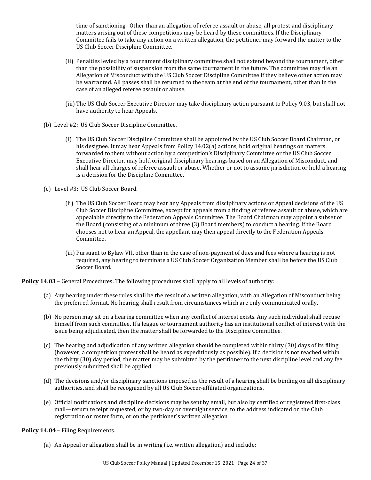time of sanctioning. Other than an allegation of referee assault or abuse, all protest and disciplinary matters arising out of these competitions may be heard by these committees. If the Disciplinary Committee fails to take any action on a written allegation, the petitioner may forward the matter to the US Club Soccer Discipline Committee.

- (ii) Penalties levied by a tournament disciplinary committee shall not extend beyond the tournament, other than the possibility of suspension from the same tournament in the future. The committee may file an Allegation of Misconduct with the US Club Soccer Discipline Committee if they believe other action may be warranted. All passes shall be returned to the team at the end of the tournament, other than in the case of an alleged referee assault or abuse.
- (iii) The US Club Soccer Executive Director may take disciplinary action pursuant to Policy 9.03, but shall not have authority to hear Appeals.
- (b) Level #2: US Club Soccer Discipline Committee.
	- (i) The US Club Soccer Discipline Committee shall be appointed by the US Club Soccer Board Chairman, or his designee. It may hear Appeals from Policy 14.02(a) actions, hold original hearings on matters forwarded to them without action by a competition's Disciplinary Committee or the US Club Soccer Executive Director, may hold original disciplinary hearings based on an Allegation of Misconduct, and shall hear all charges of referee assault or abuse. Whether or not to assume jurisdiction or hold a hearing is a decision for the Discipline Committee.
- (c) Level #3: US Club Soccer Board.
	- (ii) The US Club Soccer Board may hear any Appeals from disciplinary actions or Appeal decisions of the US Club Soccer Discipline Committee, except for appeals from a finding of referee assault or abuse, which are appealable directly to the Federation Appeals Committee. The Board Chairman may appoint a subset of the Board (consisting of a minimum of three (3) Board members) to conduct a hearing. If the Board chooses not to hear an Appeal, the appellant may then appeal directly to the Federation Appeals Committee.
	- (iii) Pursuant to Bylaw VII, other than in the case of non-payment of dues and fees where a hearing is not required, any hearing to terminate a US Club Soccer Organization Member shall be before the US Club Soccer Board.

**Policy 14.03** – General Procedures. The following procedures shall apply to all levels of authority:

- (a) Any hearing under these rules shall be the result of a written allegation, with an Allegation of Misconduct being the preferred format. No hearing shall result from circumstances which are only communicated orally.
- (b) No person may sit on a hearing committee when any conflict of interest exists. Any such individual shall recuse himself from such committee. If a league or tournament authority has an institutional conflict of interest with the issue being adjudicated, then the matter shall be forwarded to the Discipline Committee.
- (c) The hearing and adjudication of any written allegation should be completed within thirty (30) days of its filing (however, a competition protest shall be heard as expeditiously as possible). If a decision is not reached within the thirty (30) day period, the matter may be submitted by the petitioner to the next discipline level and any fee previously submitted shall be applied.
- (d) The decisions and/or disciplinary sanctions imposed as the result of a hearing shall be binding on all disciplinary authorities, and shall be recognized by all US Club Soccer-affiliated organizations.
- (e) Official notifications and discipline decisions may be sent by email, but also by certified or registered first-class mail—return receipt requested, or by two-day or overnight service, to the address indicated on the Club registration or roster form, or on the petitioner's written allegation.

#### **Policy 14.04** – Filing Requirements.

(a) An Appeal or allegation shall be in writing (i.e. written allegation) and include: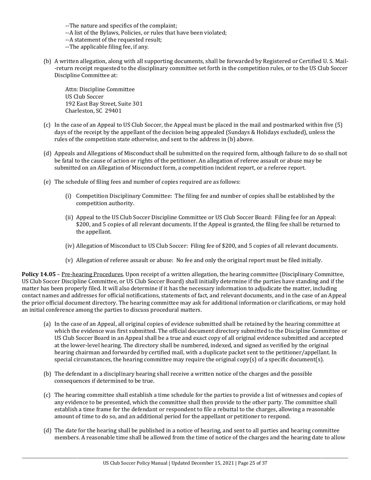--The nature and specifics of the complaint;

- --A list of the Bylaws, Policies, or rules that have been violated;
- --A statement of the requested result;
- --The applicable filing fee, if any.
- (b) A written allegation, along with all supporting documents, shall be forwarded by Registered or Certified U. S. Mail- -return receipt requested to the disciplinary committee set forth in the competition rules, or to the US Club Soccer Discipline Committee at:

Attn: Discipline Committee US Club Soccer 192 East Bay Street, Suite 301 Charleston, SC 29401

- (c) In the case of an Appeal to US Club Soccer, the Appeal must be placed in the mail and postmarked within five (5) days of the receipt by the appellant of the decision being appealed (Sundays & Holidays excluded), unless the rules of the competition state otherwise, and sent to the address in (b) above.
- (d) Appeals and Allegations of Misconduct shall be submitted on the required form, although failure to do so shall not be fatal to the cause of action or rights of the petitioner. An allegation of referee assault or abuse may be submitted on an Allegation of Misconduct form, a competition incident report, or a referee report.
- (e) The schedule of filing fees and number of copies required are as follows:
	- (i) Competition Disciplinary Committee: The filing fee and number of copies shall be established by the competition authority.
	- (ii) Appeal to the US Club Soccer Discipline Committee or US Club Soccer Board: Filing fee for an Appeal: \$200, and 5 copies of all relevant documents. If the Appeal is granted, the filing fee shall be returned to the appellant.
	- (iv) Allegation of Misconduct to US Club Soccer: Filing fee of \$200, and 5 copies of all relevant documents.
	- (v) Allegation of referee assault or abuse: No fee and only the original report must be filed initially.

**Policy 14.05** – Pre-hearing Procedures. Upon receipt of a written allegation, the hearing committee (Disciplinary Committee, US Club Soccer Discipline Committee, or US Club Soccer Board) shall initially determine if the parties have standing and if the matter has been properly filed. It will also determine if it has the necessary information to adjudicate the matter, including contact names and addresses for official notifications, statements of fact, and relevant documents, and in the case of an Appeal the prior official document directory. The hearing committee may ask for additional information or clarifications, or may hold an initial conference among the parties to discuss procedural matters.

- (a) In the case of an Appeal, all original copies of evidence submitted shall be retained by the hearing committee at which the evidence was first submitted. The official document directory submitted to the Discipline Committee or US Club Soccer Board in an Appeal shall be a true and exact copy of all original evidence submitted and accepted at the lower-level hearing. The directory shall be numbered, indexed, and signed as verified by the original hearing chairman and forwarded by certified mail, with a duplicate packet sent to the petitioner/appellant. In special circumstances, the hearing committee may require the original copy(s) of a specific document(s).
- (b) The defendant in a disciplinary hearing shall receive a written notice of the charges and the possible consequences if determined to be true.
- (c) The hearing committee shall establish a time schedule for the parties to provide a list of witnesses and copies of any evidence to be presented, which the committee shall then provide to the other party. The committee shall establish a time frame for the defendant or respondent to file a rebuttal to the charges, allowing a reasonable amount of time to do so, and an additional period for the appellant or petitioner to respond.
- (d) The date for the hearing shall be published in a notice of hearing, and sent to all parties and hearing committee members. A reasonable time shall be allowed from the time of notice of the charges and the hearing date to allow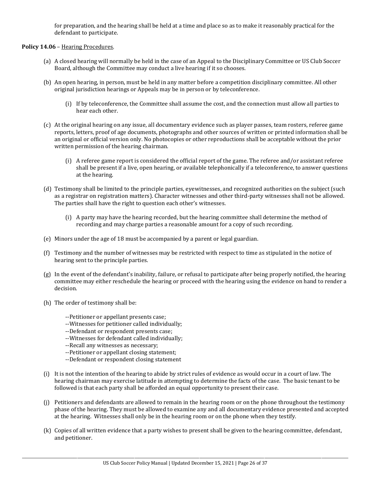for preparation, and the hearing shall be held at a time and place so as to make it reasonably practical for the defendant to participate.

#### **Policy 14.06** – Hearing Procedures.

- (a) A closed hearing will normally be held in the case of an Appeal to the Disciplinary Committee or US Club Soccer Board, although the Committee may conduct a live hearing if it so chooses.
- (b) An open hearing, in person, must be held in any matter before a competition disciplinary committee. All other original jurisdiction hearings or Appeals may be in person or by teleconference.
	- (i) If by teleconference, the Committee shall assume the cost, and the connection must allow all parties to hear each other.
- (c) At the original hearing on any issue, all documentary evidence such as player passes, team rosters, referee game reports, letters, proof of age documents, photographs and other sources of written or printed information shall be an original or official version only. No photocopies or other reproductions shall be acceptable without the prior written permission of the hearing chairman.
	- (i) A referee game report is considered the official report of the game. The referee and/or assistant referee shall be present if a live, open hearing, or available telephonically if a teleconference, to answer questions at the hearing.
- (d) Testimony shall be limited to the principle parties, eyewitnesses, and recognized authorities on the subject (such as a registrar on registration matters). Character witnesses and other third-party witnesses shall not be allowed. The parties shall have the right to question each other's witnesses.
	- (i) A party may have the hearing recorded, but the hearing committee shall determine the method of recording and may charge parties a reasonable amount for a copy of such recording.
- (e) Minors under the age of 18 must be accompanied by a parent or legal guardian.
- (f) Testimony and the number of witnesses may be restricted with respect to time as stipulated in the notice of hearing sent to the principle parties.
- (g) In the event of the defendant's inability, failure, or refusal to participate after being properly notified, the hearing committee may either reschedule the hearing or proceed with the hearing using the evidence on hand to render a decision.
- (h) The order of testimony shall be:
	- --Petitioner or appellant presents case;
	- --Witnesses for petitioner called individually;
	- --Defendant or respondent presents case;
	- --Witnesses for defendant called individually;
	- --Recall any witnesses as necessary;
	- --Petitioner or appellant closing statement;
	- --Defendant or respondent closing statement
- (i) It is not the intention of the hearing to abide by strict rules of evidence as would occur in a court of law. The hearing chairman may exercise latitude in attempting to determine the facts of the case. The basic tenant to be followed is that each party shall be afforded an equal opportunity to present their case.
- (j) Petitioners and defendants are allowed to remain in the hearing room or on the phone throughout the testimony phase of the hearing. They must be allowed to examine any and all documentary evidence presented and accepted at the hearing. Witnesses shall only be in the hearing room or on the phone when they testify.
- (k) Copies of all written evidence that a party wishes to present shall be given to the hearing committee, defendant, and petitioner.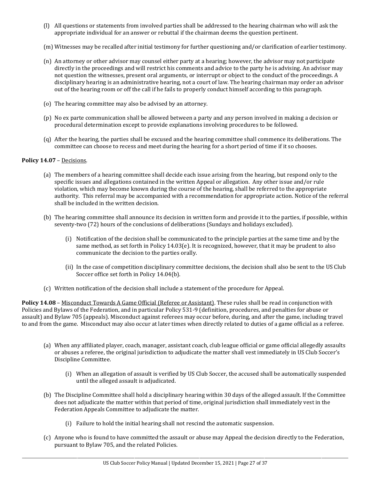- (l) All questions or statements from involved parties shall be addressed to the hearing chairman who will ask the appropriate individual for an answer or rebuttal if the chairman deems the question pertinent.
- (m) Witnesses may be recalled after initial testimony for further questioning and/or clarification of earlier testimony.
- (n) An attorney or other advisor may counsel either party at a hearing; however, the advisor may not participate directly in the proceedings and will restrict his comments and advice to the party he is advising. An advisor may not question the witnesses, present oral arguments, or interrupt or object to the conduct of the proceedings. A disciplinary hearing is an administrative hearing, not a court of law. The hearing chairman may order an advisor out of the hearing room or off the call if he fails to properly conduct himself according to this paragraph.
- (o) The hearing committee may also be advised by an attorney.
- (p) No ex parte communication shall be allowed between a party and any person involved in making a decision or procedural determination except to provide explanations involving procedures to be followed.
- (q) After the hearing, the parties shall be excused and the hearing committee shall commence its deliberations. The committee can choose to recess and meet during the hearing for a short period of time if it so chooses.

### **Policy 14.07** – Decisions.

- (a) The members of a hearing committee shall decide each issue arising from the hearing, but respond only to the specific issues and allegations contained in the written Appeal or allegation. Any other issue and/or rule violation, which may become known during the course of the hearing, shall be referred to the appropriate authority. This referral may be accompanied with a recommendation for appropriate action. Notice of the referral shall be included in the written decision.
- (b) The hearing committee shall announce its decision in written form and provide it to the parties, if possible, within seventy-two (72) hours of the conclusions of deliberations (Sundays and holidays excluded).
	- (i) Notification of the decision shall be communicated to the principle parties at the same time and by the same method, as set forth in Policy 14.03(e). It is recognized, however, that it may be prudent to also communicate the decision to the parties orally.
	- (ii) In the case of competition disciplinary committee decisions, the decision shall also be sent to the US Club Soccer office set forth in Policy 14.04(b).
- (c) Written notification of the decision shall include a statement of the procedure for Appeal.

**Policy 14.08** – Misconduct Towards A Game Official (Referee or Assistant). These rules shall be read in conjunction with Policies and Bylaws of the Federation, and in particular Policy 531-9 (definition, procedures, and penalties for abuse or assault) and Bylaw 705 (appeals). Misconduct against referees may occur before, during, and after the game, including travel to and from the game. Misconduct may also occur at later times when directly related to duties of a game official as a referee.

- (a) When any affiliated player, coach, manager, assistant coach, club league official or game official allegedly assaults or abuses a referee, the original jurisdiction to adjudicate the matter shall vest immediately in US Club Soccer's Discipline Committee.
	- (i) When an allegation of assault is verified by US Club Soccer, the accused shall be automatically suspended until the alleged assault is adjudicated.
- (b) The Discipline Committee shall hold a disciplinary hearing within 30 days of the alleged assault. If the Committee does not adjudicate the matter within that period of time, original jurisdiction shall immediately vest in the Federation Appeals Committee to adjudicate the matter.
	- (i) Failure to hold the initial hearing shall not rescind the automatic suspension.
- (c) Anyone who is found to have committed the assault or abuse may Appeal the decision directly to the Federation, pursuant to Bylaw 705, and the related Policies.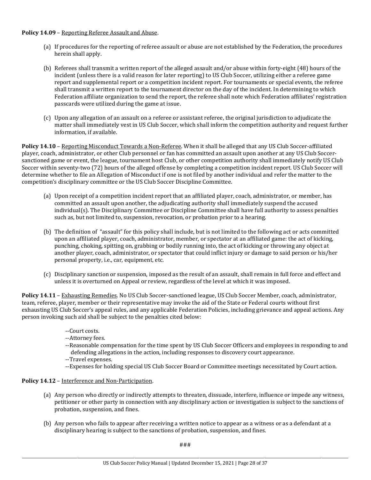### **Policy 14.09** – Reporting Referee Assault and Abuse.

- (a) If procedures for the reporting of referee assault or abuse are not established by the Federation, the procedures herein shall apply.
- (b) Referees shall transmit a written report of the alleged assault and/or abuse within forty-eight (48) hours of the incident (unless there is a valid reason for later reporting) to US Club Soccer, utilizing either a referee game report and supplemental report or a competition incident report. For tournaments or special events, the referee shall transmit a written report to the tournament director on the day of the incident. In determining to which Federation affiliate organization to send the report, the referee shall note which Federation affiliates' registration passcards were utilized during the game at issue.
- (c) Upon any allegation of an assault on a referee or assistant referee, the original jurisdiction to adjudicate the matter shall immediately vest in US Club Soccer, which shall inform the competition authority and request further information, if available.

**Policy 14.10** – Reporting Misconduct Towards a Non-Referee. When it shall be alleged that any US Club Soccer-affiliated player, coach, administrator, or other Club personnel or fan has committed an assault upon another at any US Club Soccersanctioned game or event, the league, tournament host Club, or other competition authority shall immediately notify US Club Soccer within seventy-two (72) hours of the alleged offense by completing a competition incident report. US Club Soccer will determine whether to file an Allegation of Misconduct if one is not filed by another individual and refer the matter to the competition's disciplinary committee or the US Club Soccer Discipline Committee.

- (a) Upon receipt of a competition incident report that an affiliated player, coach, administrator, or member, has committed an assault upon another, the adjudicating authority shall immediately suspend the accused individual(s). The Disciplinary Committee or Discipline Committee shall have full authority to assess penalties such as, but not limited to, suspension, revocation, or probation prior to a hearing.
- (b) The definition of "assault" for this policy shall include, but is not limited to the following act or acts committed upon an affiliated player, coach, administrator, member, or spectator at an affiliated game: the act of kicking, punching, choking, spitting on, grabbing or bodily running into, the act of kicking or throwing any object at another player, coach, administrator, or spectator that could inflict injury or damage to said person or his/her personal property, i.e., car, equipment, etc.
- (c) Disciplinary sanction or suspension, imposed as the result of an assault, shall remain in full force and effect and unless it is overturned on Appeal or review, regardless of the level at which it was imposed.

Policy 14.11 – Exhausting Remedies. No US Club Soccer-sanctioned league, US Club Soccer Member, coach, administrator, team, referee, player, member or their representative may invoke the aid of the State or Federal courts without first exhausting US Club Soccer's appeal rules, and any applicable Federation Policies, including grievance and appeal actions. Any person invoking such aid shall be subject to the penalties cited below:

- --Court costs.
- --Attorney fees.
- --Reasonable compensation for the time spent by US Club Soccer Officers and employees in responding to and defending allegations in the action, including responses to discovery court appearance.
- --Travel expenses.
- --Expenses for holding special US Club Soccer Board or Committee meetings necessitated by Court action.

# **Policy 14.12** – Interference and Non-Participation.

- (a) Any person who directly or indirectly attempts to threaten, dissuade, interfere, influence or impede any witness, petitioner or other party in connection with any disciplinary action or investigation is subject to the sanctions of probation, suspension, and fines.
- (b) Any person who fails to appear after receiving a written notice to appear as a witness or as a defendant at a disciplinary hearing is subject to the sanctions of probation, suspension, and fines.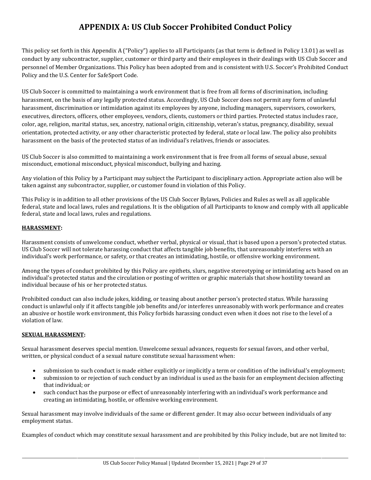# **APPENDIX A: US Club Soccer Prohibited Conduct Policy**

This policy set forth in this Appendix A ("Policy") applies to all Participants (as that term is defined in Policy 13.01) as well as conduct by any subcontractor, supplier, customer or third party and their employees in their dealings with US Club Soccer and personnel of Member Organizations. This Policy has been adopted from and is consistent with U.S. Soccer's Prohibited Conduct Policy and the U.S. Center for SafeSport Code.

US Club Soccer is committed to maintaining a work environment that is free from all forms of discrimination, including harassment, on the basis of any legally protected status. Accordingly, US Club Soccer does not permit any form of unlawful harassment, discrimination or intimidation against its employees by anyone, including managers, supervisors, coworkers, executives, directors, officers, other employees, vendors, clients, customers or third parties. Protected status includes race, color, age, religion, marital status, sex, ancestry, national origin, citizenship, veteran's status, pregnancy, disability, sexual orientation, protected activity, or any other characteristic protected by federal, state or local law. The policy also prohibits harassment on the basis of the protected status of an individual's relatives, friends or associates.

US Club Soccer is also committed to maintaining a work environment that is free from all forms of sexual abuse, sexual misconduct, emotional misconduct, physical misconduct, bullying and hazing.

Any violation of this Policy by a Participant may subject the Participant to disciplinary action. Appropriate action also will be taken against any subcontractor, supplier, or customer found in violation of this Policy.

This Policy is in addition to all other provisions of the US Club Soccer Bylaws, Policies and Rules as well as all applicable federal, state and local laws, rules and regulations. It is the obligation of all Participants to know and comply with all applicable federal, state and local laws, rules and regulations.

# **HARASSMENT:**

Harassment consists of unwelcome conduct, whether verbal, physical or visual, that is based upon a person's protected status. US Club Soccer will not tolerate harassing conduct that affects tangible job benefits, that unreasonably interferes with an individual's work performance, or safety, or that creates an intimidating, hostile, or offensive working environment.

Among the types of conduct prohibited by this Policy are epithets, slurs, negative stereotyping or intimidating acts based on an individual's protected status and the circulation or posting of written or graphic materials that show hostility toward an individual because of his or her protected status.

Prohibited conduct can also include jokes, kidding, or teasing about another person's protected status. While harassing conduct is unlawful only if it affects tangible job benefits and/or interferes unreasonably with work performance and creates an abusive or hostile work environment, this Policy forbids harassing conduct even when it does not rise to the level of a violation of law.

# **SEXUAL HARASSMENT:**

Sexual harassment deserves special mention. Unwelcome sexual advances, requests for sexual favors, and other verbal, written, or physical conduct of a sexual nature constitute sexual harassment when:

- submission to such conduct is made either explicitly or implicitly a term or condition of the individual's employment;
- submission to or rejection of such conduct by an individual is used as the basis for an employment decision affecting that individual; or
- such conduct has the purpose or effect of unreasonably interfering with an individual's work performance and creating an intimidating, hostile, or offensive working environment.

Sexual harassment may involve individuals of the same or different gender. It may also occur between individuals of any employment status.

Examples of conduct which may constitute sexual harassment and are prohibited by this Policy include, but are not limited to: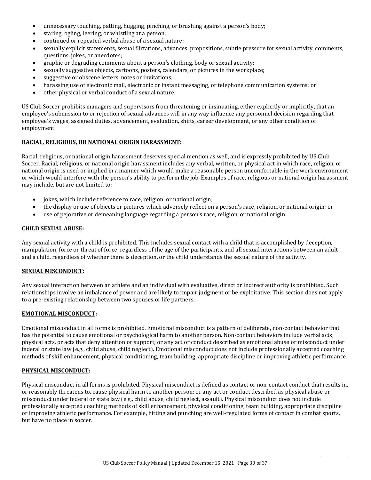- unnecessary touching, patting, hugging, pinching, or brushing against a person's body;
- staring, ogling, leering, or whistling at a person;
- continued or repeated verbal abuse of a sexual nature;
- sexually explicit statements, sexual flirtations, advances, propositions, subtle pressure for sexual activity, comments, questions, jokes, or anecdotes;
- graphic or degrading comments about a person's clothing, body or sexual activity;
- sexually suggestive objects, cartoons, posters, calendars, or pictures in the workplace;
- suggestive or obscene letters, notes or invitations;
- harassing use of electronic mail, electronic or instant messaging, or telephone communication systems; or
- other physical or verbal conduct of a sexual nature.

US Club Soccer prohibits managers and supervisors from threatening or insinuating, either explicitly or implicitly, that an employee's submission to or rejection of sexual advances will in any way influence any personnel decision regarding that employee's wages, assigned duties, advancement, evaluation, shifts, career development, or any other condition of employment.

#### **RACIAL, RELIGIOUS, OR NATIONAL ORIGIN HARASSMENT:**

Racial, religious, or national origin harassment deserves special mention as well, and is expressly prohibited by US Club Soccer. Racial, religious, or national origin harassment includes any verbal, written, or physical act in which race, religion, or national origin is used or implied in a manner which would make a reasonable person uncomfortable in the work environment or which would interfere with the person's ability to perform the job. Examples of race, religious or national origin harassment may include, but are not limited to:

- jokes, which include reference to race, religion, or national origin;
- the display or use of objects or pictures which adversely reflect on a person's race, religion, or national origin; or
- use of pejorative or demeaning language regarding a person's race, religion, or national origin.

## **CHILD SEXUAL ABUSE:**

Any sexual activity with a child is prohibited. This includes sexual contact with a child that is accomplished by deception, manipulation, force or threat of force, regardless of the age of the participants, and all sexual interactions between an adult and a child, regardless of whether there is deception, or the child understands the sexual nature of the activity.

#### **SEXUAL MISCONDUCT:**

Any sexual interaction between an athlete and an individual with evaluative, direct or indirect authority is prohibited. Such relationships involve an imbalance of power and are likely to impair judgment or be exploitative. This section does not apply to a pre-existing relationship between two spouses or life partners.

#### **EMOTIONAL MISCONDUCT:**

Emotional misconduct in all forms is prohibited. Emotional misconduct is a pattern of deliberate, non-contact behavior that has the potential to cause emotional or psychological harm to another person. Non-contact behaviors include verbal acts, physical acts, or acts that deny attention or support; or any act or conduct described as emotional abuse or misconduct under federal or state law (e.g., child abuse, child neglect). Emotional misconduct does not include professionally accepted coaching methods of skill enhancement, physical conditioning, team building, appropriate discipline or improving athletic performance.

#### **PHYSICAL MISCONDUCT:**

Physical misconduct in all forms is prohibited. Physical misconduct is defined as contact or non-contact conduct that results in, or reasonably threatens to, cause physical harm to another person; or any act or conduct described as physical abuse or misconduct under federal or state law (e.g., child abuse, child neglect, assault). Physical misconduct does not include professionally accepted coaching methods of skill enhancement, physical conditioning, team building, appropriate discipline or improving athletic performance. For example, hitting and punching are well-regulated forms of contact in combat sports, but have no place in soccer.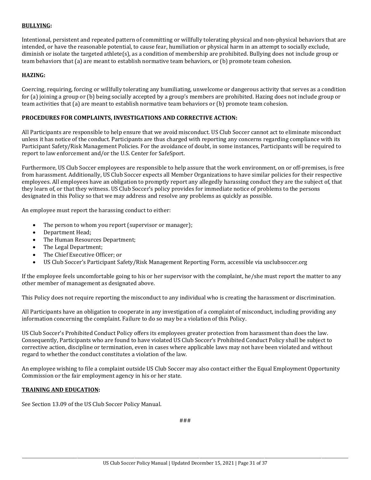#### **BULLYING:**

Intentional, persistent and repeated pattern of committing or willfully tolerating physical and non-physical behaviors that are intended, or have the reasonable potential, to cause fear, humiliation or physical harm in an attempt to socially exclude, diminish or isolate the targeted athlete(s), as a condition of membership are prohibited. Bullying does not include group or team behaviors that (a) are meant to establish normative team behaviors, or (b) promote team cohesion.

## **HAZING:**

Coercing, requiring, forcing or willfully tolerating any humiliating, unwelcome or dangerous activity that serves as a condition for (a) joining a group or (b) being socially accepted by a group's members are prohibited. Hazing does not include group or team activities that (a) are meant to establish normative team behaviors or (b) promote team cohesion.

### **PROCEDURES FOR COMPLAINTS, INVESTIGATIONS AND CORRECTIVE ACTION:**

All Participants are responsible to help ensure that we avoid misconduct. US Club Soccer cannot act to eliminate misconduct unless it has notice of the conduct. Participants are thus charged with reporting any concerns regarding compliance with its Participant Safety/Risk Management Policies. For the avoidance of doubt, in some instances, Participants will be required to report to law enforcement and/or the U.S. Center for SafeSport.

Furthermore, US Club Soccer employees are responsible to help assure that the work environment, on or off-premises, is free from harassment. Additionally, US Club Soccer expects all Member Organizations to have similar policies for their respective employees. All employees have an obligation to promptly report any allegedly harassing conduct they are the subject of, that they learn of, or that they witness. US Club Soccer's policy provides for immediate notice of problems to the persons designated in this Policy so that we may address and resolve any problems as quickly as possible.

An employee must report the harassing conduct to either:

- The person to whom you report (supervisor or manager);
- Department Head;
- The Human Resources Department;
- The Legal Department;
- The Chief Executive Officer; or
- US Club Soccer's Participant Safety/Risk Management Reporting Form, accessible via usclubsoccer.org

If the employee feels uncomfortable going to his or her supervisor with the complaint, he/she must report the matter to any other member of management as designated above.

This Policy does not require reporting the misconduct to any individual who is creating the harassment or discrimination.

All Participants have an obligation to cooperate in any investigation of a complaint of misconduct, including providing any information concerning the complaint. Failure to do so may be a violation of this Policy.

US Club Soccer's Prohibited Conduct Policy offers its employees greater protection from harassment than does the law. Consequently, Participants who are found to have violated US Club Soccer's Prohibited Conduct Policy shall be subject to corrective action, discipline or termination, even in cases where applicable laws may not have been violated and without regard to whether the conduct constitutes a violation of the law.

An employee wishing to file a complaint outside US Club Soccer may also contact either the Equal Employment Opportunity Commission or the fair employment agency in his or her state.

#### **TRAINING AND EDUCATION:**

See Section 13.09 of the US Club Soccer Policy Manual.

###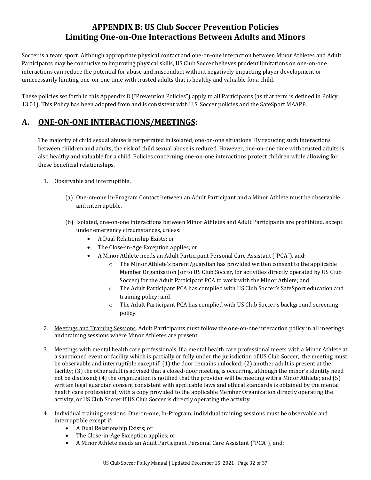# **APPENDIX B: US Club Soccer Prevention Policies Limiting One-on-One Interactions Between Adults and Minors**

Soccer is a team sport. Although appropriate physical contact and one-on-one interaction between Minor Athletes and Adult Participants may be conducive to improving physical skills, US Club Soccer believes prudent limitations on one-on-one interactions can reduce the potential for abuse and misconduct without negatively impacting player development or unnecessarily limiting one-on-one time with trusted adults that is healthy and valuable for a child.

These policies set forth in this Appendix B ("Prevention Policies") apply to all Participants (as that term is defined in Policy 13.01). This Policy has been adopted from and is consistent with U.S. Soccer policies and the SafeSport MAAPP.

# **A. ONE-ON-ONE INTERACTIONS/MEETINGS:**

The majority of child sexual abuse is perpetrated in isolated, one-on-one situations. By reducing such interactions between children and adults, the risk of child sexual abuse is reduced. However, one-on-one time with trusted adults is also healthy and valuable for a child. Policies concerning one-on-one interactions protect children while allowing for these beneficial relationships.

# 1. Observable and interruptible.

- (a) One-on-one In-Program Contact between an Adult Participant and a Minor Athlete must be observable and interruptible.
- (b) Isolated, one-on-one interactions between Minor Athletes and Adult Participants are prohibited, except under emergency circumstances, unless:
	- A Dual Relationship Exists; or
	- The Close-in-Age Exception applies; or
	- A Minor Athlete needs an Adult Participant Personal Care Assistant ("PCA"), and:
		- The Minor Athlete's parent/guardian has provided written consent to the applicable Member Organization (or to US Club Soccer, for activities directly operated by US Club Soccer) for the Adult Participant PCA to work with the Minor Athlete; and
		- o The Adult Participant PCA has complied with US Club Soccer's SafeSport education and training policy; and
		- o The Adult Participant PCA has complied with US Club Soccer's background screening policy.
- 2. Meetings and Training Sessions. Adult Participants must follow the one-on-one interaction policy in all meetings and training sessions where Minor Athletes are present.
- 3. Meetings with mental health care professionals. If a mental health care professional meets with a Minor Athlete at a sanctioned event or facility which is partially or fully under the jurisdiction of US Club Soccer, the meeting must be observable and interruptible except if: (1) the door remains unlocked; (2) another adult is present at the facility; (3) the other adult is advised that a closed-door meeting is occurring, although the minor's identity need not be disclosed; (4) the organization is notified that the provider will be meeting with a Minor Athlete; and (5) written legal guardian consent consistent with applicable laws and ethical standards is obtained by the mental health care professional, with a copy provided to the applicable Member Organization directly operating the activity, or US Club Soccer if US Club Soccer is directly operating the activity.
- 4. Individual training sessions. One-on-one, In-Program, individual training sessions must be observable and interruptible except if:
	- A Dual Relationship Exists; or
	- The Close-in-Age Exception applies; or
	- A Minor Athlete needs an Adult Participant Personal Care Assistant ("PCA"), and: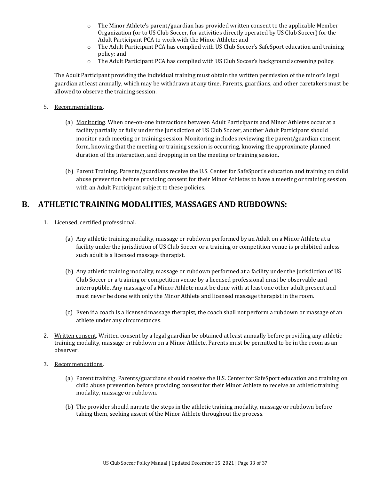- $\circ$  The Minor Athlete's parent/guardian has provided written consent to the applicable Member Organization (or to US Club Soccer, for activities directly operated by US Club Soccer) for the Adult Participant PCA to work with the Minor Athlete; and
- o The Adult Participant PCA has complied with US Club Soccer's SafeSport education and training policy; and
- o The Adult Participant PCA has complied with US Club Soccer's background screening policy.

The Adult Participant providing the individual training must obtain the written permission of the minor's legal guardian at least annually, which may be withdrawn at any time. Parents, guardians, and other caretakers must be allowed to observe the training session.

- 5. Recommendations.
	- (a) Monitoring. When one-on-one interactions between Adult Participants and Minor Athletes occur at a facility partially or fully under the jurisdiction of US Club Soccer, another Adult Participant should monitor each meeting or training session. Monitoring includes reviewing the parent/guardian consent form, knowing that the meeting or training session is occurring, knowing the approximate planned duration of the interaction, and dropping in on the meeting or training session.
	- (b) Parent Training. Parents/guardians receive the U.S. Center for SafeSport's education and training on child abuse prevention before providing consent for their Minor Athletes to have a meeting or training session with an Adult Participant subject to these policies.

# **B. ATHLETIC TRAINING MODALITIES, MASSAGES AND RUBDOWNS:**

- 1. Licensed, certified professional.
	- (a) Any athletic training modality, massage or rubdown performed by an Adult on a Minor Athlete at a facility under the jurisdiction of US Club Soccer or a training or competition venue is prohibited unless such adult is a licensed massage therapist.
	- (b) Any athletic training modality, massage or rubdown performed at a facility under the jurisdiction of US Club Soccer or a training or competition venue by a licensed professional must be observable and interruptible. Any massage of a Minor Athlete must be done with at least one other adult present and must never be done with only the Minor Athlete and licensed massage therapist in the room.
	- (c) Even if a coach is a licensed massage therapist, the coach shall not perform a rubdown or massage of an athlete under any circumstances.
- 2. Written consent. Written consent by a legal guardian be obtained at least annually before providing any athletic training modality, massage or rubdown on a Minor Athlete. Parents must be permitted to be in the room as an observer.
- 3. Recommendations.
	- (a) Parent training. Parents/guardians should receive the U.S. Center for SafeSport education and training on child abuse prevention before providing consent for their Minor Athlete to receive an athletic training modality, massage or rubdown.
	- (b) The provider should narrate the steps in the athletic training modality, massage or rubdown before taking them, seeking assent of the Minor Athlete throughout the process.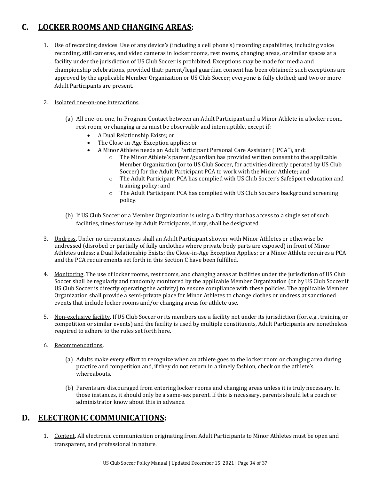# **C. LOCKER ROOMS AND CHANGING AREAS:**

1. Use of recording devices. Use of any device's (including a cell phone's) recording capabilities, including voice recording, still cameras, and video cameras in locker rooms, rest rooms, changing areas, or similar spaces at a facility under the jurisdiction of US Club Soccer is prohibited. Exceptions may be made for media and championship celebrations, provided that: parent/legal guardian consent has been obtained; such exceptions are approved by the applicable Member Organization or US Club Soccer; everyone is fully clothed; and two or more Adult Participants are present.

# 2. Isolated one-on-one interactions.

- (a) All one-on-one, In-Program Contact between an Adult Participant and a Minor Athlete in a locker room, rest room, or changing area must be observable and interruptible, except if:
	- A Dual Relationship Exists; or
	- The Close-in-Age Exception applies; or
	- A Minor Athlete needs an Adult Participant Personal Care Assistant ("PCA"), and:
		- The Minor Athlete's parent/guardian has provided written consent to the applicable Member Organization (or to US Club Soccer, for activities directly operated by US Club Soccer) for the Adult Participant PCA to work with the Minor Athlete; and
		- o The Adult Participant PCA has complied with US Club Soccer's SafeSport education and training policy; and
		- o The Adult Participant PCA has complied with US Club Soccer's background screening policy.
- (b) If US Club Soccer or a Member Organization is using a facility that has access to a single set of such facilities, times for use by Adult Participants, if any, shall be designated.
- 3. Undress. Under no circumstances shall an Adult Participant shower with Minor Athletes or otherwise be undressed (disrobed or partially of fully unclothes where private body parts are exposed) in front of Minor Athletes unless: a Dual Relationship Exists; the Close-in-Age Exception Applies; or a Minor Athlete requires a PCA and the PCA requirements set forth in this Section C have been fulfilled.
- 4. Monitoring. The use of locker rooms, rest rooms, and changing areas at facilities under the jurisdiction of US Club Soccer shall be regularly and randomly monitored by the applicable Member Organization (or by US Club Soccer if US Club Soccer is directly operating the activity) to ensure compliance with these policies. The applicable Member Organization shall provide a semi-private place for Minor Athletes to change clothes or undress at sanctioned events that include locker rooms and/or changing areas for athlete use.
- 5. Non-exclusive facility. If US Club Soccer or its members use a facility not under its jurisdiction (for, e.g., training or competition or similar events) and the facility is used by multiple constituents, Adult Participants are nonetheless required to adhere to the rules set forth here.
- 6. Recommendations.
	- (a) Adults make every effort to recognize when an athlete goes to the locker room or changing area during practice and competition and, if they do not return in a timely fashion, check on the athlete's whereabouts.
	- (b) Parents are discouraged from entering locker rooms and changing areas unless it is truly necessary. In those instances, it should only be a same-sex parent. If this is necessary, parents should let a coach or administrator know about this in advance.

# **D. ELECTRONIC COMMUNICATIONS:**

1. Content. All electronic communication originating from Adult Participants to Minor Athletes must be open and transparent, and professional in nature.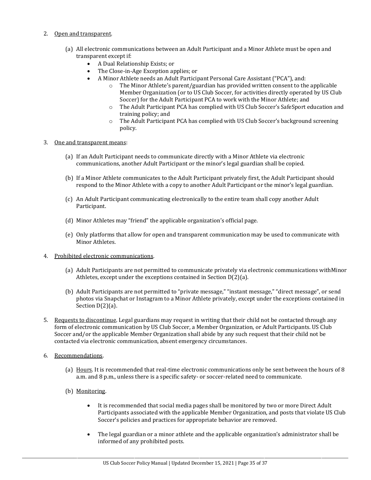#### 2. Open and transparent.

- (a) All electronic communications between an Adult Participant and a Minor Athlete must be open and transparent except if:
	- A Dual Relationship Exists; or
	- The Close-in-Age Exception applies; or
		- A Minor Athlete needs an Adult Participant Personal Care Assistant ("PCA"), and:<br>  $\circ$  The Minor Athlete's parent/guardian has provided written consent to the
			- The Minor Athlete's parent/guardian has provided written consent to the applicable Member Organization (or to US Club Soccer, for activities directly operated by US Club Soccer) for the Adult Participant PCA to work with the Minor Athlete; and
			- o The Adult Participant PCA has complied with US Club Soccer's SafeSport education and training policy; and
			- o The Adult Participant PCA has complied with US Club Soccer's background screening policy.

#### 3. One and transparent means:

- (a) If an Adult Participant needs to communicate directly with a Minor Athlete via electronic communications, another Adult Participant or the minor's legal guardian shall be copied.
- (b) If a Minor Athlete communicates to the Adult Participant privately first, the Adult Participant should respond to the Minor Athlete with a copy to another Adult Participant or the minor's legal guardian.
- (c) An Adult Participant communicating electronically to the entire team shall copy another Adult Participant.
- (d) Minor Athletes may "friend" the applicable organization's official page.
- (e) Only platforms that allow for open and transparent communication may be used to communicate with Minor Athletes.
- 4. Prohibited electronic communications.
	- (a) Adult Participants are not permitted to communicate privately via electronic communications withMinor Athletes, except under the exceptions contained in Section D(2)(a).
	- (b) Adult Participants are not permitted to "private message," "instant message," "direct message", or send photos via Snapchat or Instagram to a Minor Athlete privately, except under the exceptions contained in Section D(2)(a).
- 5. Requests to discontinue. Legal guardians may request in writing that their child not be contacted through any form of electronic communication by US Club Soccer, a Member Organization, or Adult Participants. US Club Soccer and/or the applicable Member Organization shall abide by any such request that their child not be contacted via electronic communication, absent emergency circumstances.
- 6. Recommendations.
	- (a) Hours. It is recommended that real-time electronic communications only be sent between the hours of 8 a.m. and 8 p.m., unless there is a specific safety- or soccer-related need to communicate.
	- (b) Monitoring.
		- It is recommended that social media pages shall be monitored by two or more Direct Adult Participants associated with the applicable Member Organization, and posts that violate US Club Soccer's policies and practices for appropriate behavior are removed.
		- The legal guardian or a minor athlete and the applicable organization's administrator shall be informed of any prohibited posts.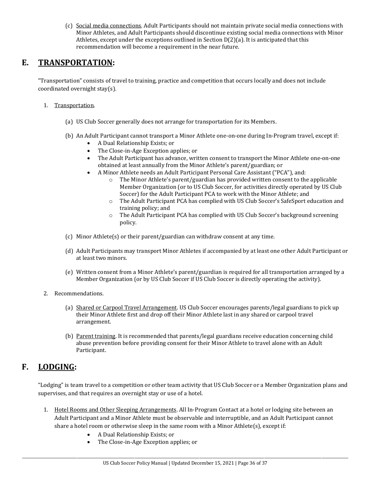(c) Social media connections. Adult Participants should not maintain private social media connections with Minor Athletes, and Adult Participants should discontinue existing social media connections with Minor Athletes, except under the exceptions outlined in Section D(2)(a). It is anticipated that this recommendation will become a requirement in the near future.

# **E. TRANSPORTATION:**

"Transportation" consists of travel to training, practice and competition that occurs locally and does not include coordinated overnight stay(s).

- 1. Transportation.
	- (a) US Club Soccer generally does not arrange for transportation for its Members.
	- (b) An Adult Participant cannot transport a Minor Athlete one-on-one during In-Program travel, except if:
		- A Dual Relationship Exists; or
		- The Close-in-Age Exception applies; or
		- The Adult Participant has advance, written consent to transport the Minor Athlete one-on-one obtained at least annually from the Minor Athlete's parent/guardian; or
		- A Minor Athlete needs an Adult Participant Personal Care Assistant ("PCA"), and:<br>  $\circ$  The Minor Athlete's parent/guardian has provided written consent to the
			- The Minor Athlete's parent/guardian has provided written consent to the applicable Member Organization (or to US Club Soccer, for activities directly operated by US Club Soccer) for the Adult Participant PCA to work with the Minor Athlete; and
			- o The Adult Participant PCA has complied with US Club Soccer's SafeSport education and training policy; and
			- o The Adult Participant PCA has complied with US Club Soccer's background screening policy.
	- (c) Minor Athlete(s) or their parent/guardian can withdraw consent at any time.
	- (d) Adult Participants may transport Minor Athletes if accompanied by at least one other Adult Participant or at least two minors.
	- (e) Written consent from a Minor Athlete's parent/guardian is required for all transportation arranged by a Member Organization (or by US Club Soccer if US Club Soccer is directly operating the activity).
- 2. Recommendations.
	- (a) Shared or Carpool Travel Arrangement. US Club Soccer encourages parents/legal guardians to pick up their Minor Athlete first and drop off their Minor Athlete last in any shared or carpool travel arrangement.
	- (b) Parent training. It is recommended that parents/legal guardians receive education concerning child abuse prevention before providing consent for their Minor Athlete to travel alone with an Adult Participant.

# **F. LODGING:**

"Lodging" is team travel to a competition or other team activity that US Club Soccer or a Member Organization plans and supervises, and that requires an overnight stay or use of a hotel.

- 1. Hotel Rooms and Other Sleeping Arrangements. All In-Program Contact at a hotel or lodging site between an Adult Participant and a Minor Athlete must be observable and interruptible, and an Adult Participant cannot share a hotel room or otherwise sleep in the same room with a Minor Athlete(s), except if:
	- A Dual Relationship Exists; or
	- The Close-in-Age Exception applies; or